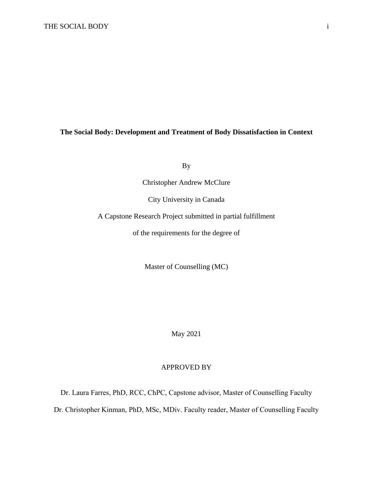## **The Social Body: Development and Treatment of Body Dissatisfaction in Context**

By

Christopher Andrew McClure

City University in Canada

A Capstone Research Project submitted in partial fulfillment

of the requirements for the degree of

Master of Counselling (MC)

May 2021

## APPROVED BY

Dr. Laura Farres, PhD, RCC, ChPC, Capstone advisor, Master of Counselling Faculty

Dr. Christopher Kinman, PhD, MSc, MDiv. Faculty reader, Master of Counselling Faculty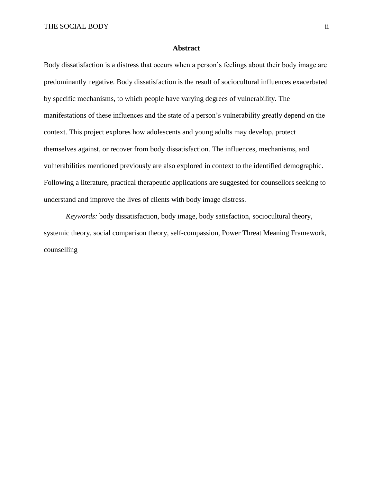#### **Abstract**

<span id="page-1-0"></span>Body dissatisfaction is a distress that occurs when a person's feelings about their body image are predominantly negative. Body dissatisfaction is the result of sociocultural influences exacerbated by specific mechanisms, to which people have varying degrees of vulnerability. The manifestations of these influences and the state of a person's vulnerability greatly depend on the context. This project explores how adolescents and young adults may develop, protect themselves against, or recover from body dissatisfaction. The influences, mechanisms, and vulnerabilities mentioned previously are also explored in context to the identified demographic. Following a literature, practical therapeutic applications are suggested for counsellors seeking to understand and improve the lives of clients with body image distress.

*Keywords:* body dissatisfaction, body image, body satisfaction, sociocultural theory, systemic theory, social comparison theory, self-compassion, Power Threat Meaning Framework, counselling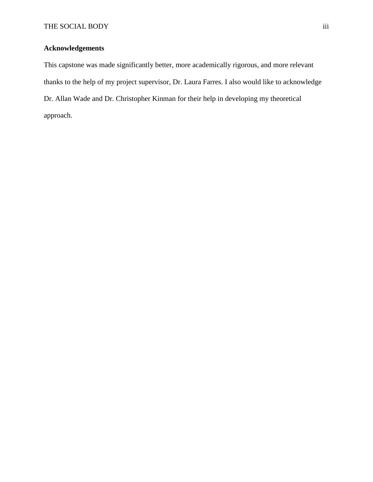## <span id="page-2-0"></span>**Acknowledgements**

This capstone was made significantly better, more academically rigorous, and more relevant thanks to the help of my project supervisor, Dr. Laura Farres. I also would like to acknowledge Dr. Allan Wade and Dr. Christopher Kinman for their help in developing my theoretical approach.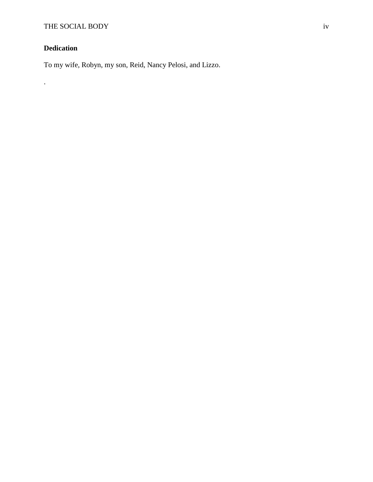# <span id="page-3-0"></span>**Dedication**

.

To my wife, Robyn, my son, Reid, Nancy Pelosi, and Lizzo.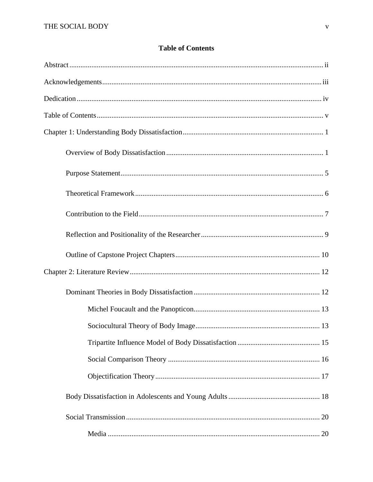## **Table of Contents**

<span id="page-4-0"></span>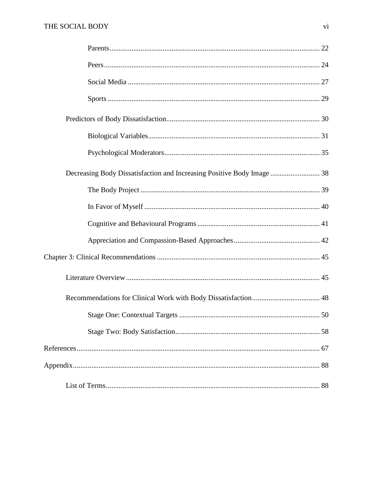| Decreasing Body Dissatisfaction and Increasing Positive Body Image  38 |  |
|------------------------------------------------------------------------|--|
|                                                                        |  |
|                                                                        |  |
|                                                                        |  |
|                                                                        |  |
|                                                                        |  |
|                                                                        |  |
|                                                                        |  |
|                                                                        |  |
|                                                                        |  |
|                                                                        |  |
|                                                                        |  |
|                                                                        |  |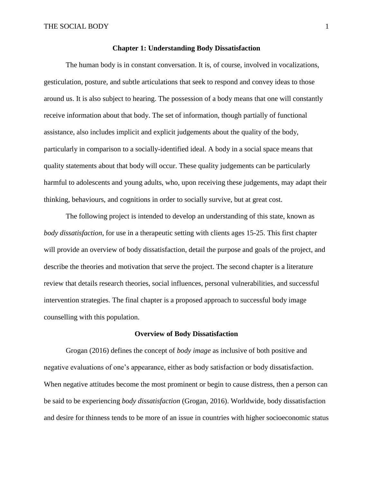#### **Chapter 1: Understanding Body Dissatisfaction**

<span id="page-6-0"></span>The human body is in constant conversation. It is, of course, involved in vocalizations, gesticulation, posture, and subtle articulations that seek to respond and convey ideas to those around us. It is also subject to hearing. The possession of a body means that one will constantly receive information about that body. The set of information, though partially of functional assistance, also includes implicit and explicit judgements about the quality of the body, particularly in comparison to a socially-identified ideal. A body in a social space means that quality statements about that body will occur. These quality judgements can be particularly harmful to adolescents and young adults, who, upon receiving these judgements, may adapt their thinking, behaviours, and cognitions in order to socially survive, but at great cost.

The following project is intended to develop an understanding of this state, known as *body dissatisfaction*, for use in a therapeutic setting with clients ages 15-25. This first chapter will provide an overview of body dissatisfaction, detail the purpose and goals of the project, and describe the theories and motivation that serve the project. The second chapter is a literature review that details research theories, social influences, personal vulnerabilities, and successful intervention strategies. The final chapter is a proposed approach to successful body image counselling with this population.

### **Overview of Body Dissatisfaction**

<span id="page-6-1"></span>Grogan (2016) defines the concept of *body image* as inclusive of both positive and negative evaluations of one's appearance, either as body satisfaction or body dissatisfaction. When negative attitudes become the most prominent or begin to cause distress, then a person can be said to be experiencing *body dissatisfaction* (Grogan, 2016). Worldwide, body dissatisfaction and desire for thinness tends to be more of an issue in countries with higher socioeconomic status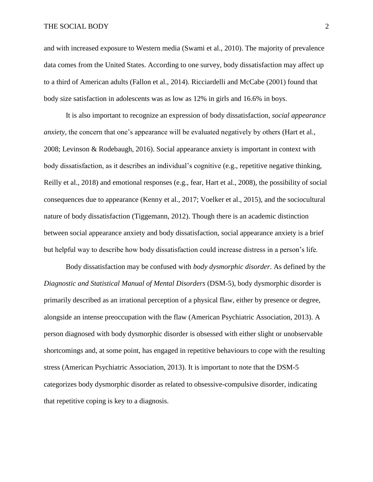#### THE SOCIAL BODY 2

and with increased exposure to Western media (Swami et al., 2010). The majority of prevalence data comes from the United States. According to one survey, body dissatisfaction may affect up to a third of American adults (Fallon et al., 2014). Ricciardelli and McCabe (2001) found that body size satisfaction in adolescents was as low as 12% in girls and 16.6% in boys.

It is also important to recognize an expression of body dissatisfaction, *social appearance anxiety*, the concern that one's appearance will be evaluated negatively by others (Hart et al., 2008; Levinson & Rodebaugh, 2016). Social appearance anxiety is important in context with body dissatisfaction, as it describes an individual's cognitive (e.g., repetitive negative thinking, Reilly et al., 2018) and emotional responses (e.g., fear, Hart et al., 2008), the possibility of social consequences due to appearance (Kenny et al., 2017; Voelker et al., 2015), and the sociocultural nature of body dissatisfaction (Tiggemann, 2012). Though there is an academic distinction between social appearance anxiety and body dissatisfaction, social appearance anxiety is a brief but helpful way to describe how body dissatisfaction could increase distress in a person's life.

Body dissatisfaction may be confused with *body dysmorphic disorder*. As defined by the *Diagnostic and Statistical Manual of Mental Disorders* (DSM-5), body dysmorphic disorder is primarily described as an irrational perception of a physical flaw, either by presence or degree, alongside an intense preoccupation with the flaw (American Psychiatric Association, 2013). A person diagnosed with body dysmorphic disorder is obsessed with either slight or unobservable shortcomings and, at some point, has engaged in repetitive behaviours to cope with the resulting stress (American Psychiatric Association, 2013). It is important to note that the DSM-5 categorizes body dysmorphic disorder as related to obsessive-compulsive disorder, indicating that repetitive coping is key to a diagnosis.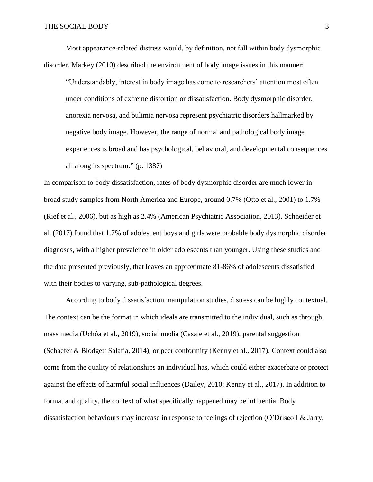Most appearance-related distress would, by definition, not fall within body dysmorphic disorder. Markey (2010) described the environment of body image issues in this manner:

"Understandably, interest in body image has come to researchers' attention most often under conditions of extreme distortion or dissatisfaction. Body dysmorphic disorder, anorexia nervosa, and bulimia nervosa represent psychiatric disorders hallmarked by negative body image. However, the range of normal and pathological body image experiences is broad and has psychological, behavioral, and developmental consequences all along its spectrum." (p. 1387)

In comparison to body dissatisfaction, rates of body dysmorphic disorder are much lower in broad study samples from North America and Europe, around 0.7% (Otto et al., 2001) to 1.7% (Rief et al., 2006), but as high as 2.4% (American Psychiatric Association, 2013). Schneider et al. (2017) found that 1.7% of adolescent boys and girls were probable body dysmorphic disorder diagnoses, with a higher prevalence in older adolescents than younger. Using these studies and the data presented previously, that leaves an approximate 81-86% of adolescents dissatisfied with their bodies to varying, sub-pathological degrees.

According to body dissatisfaction manipulation studies, distress can be highly contextual. The context can be the format in which ideals are transmitted to the individual, such as through mass media (Uchôa et al., 2019), social media (Casale et al., 2019), parental suggestion (Schaefer & Blodgett Salafia, 2014), or peer conformity (Kenny et al., 2017). Context could also come from the quality of relationships an individual has, which could either exacerbate or protect against the effects of harmful social influences (Dailey, 2010; Kenny et al., 2017). In addition to format and quality, the context of what specifically happened may be influential Body dissatisfaction behaviours may increase in response to feelings of rejection (O'Driscoll & Jarry,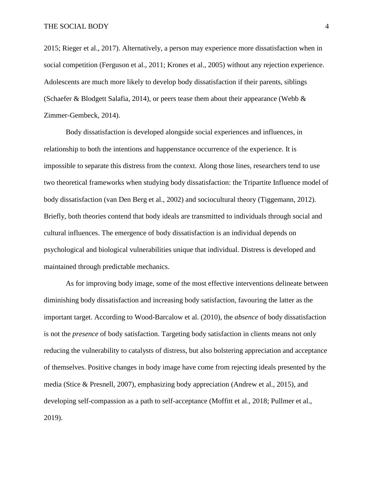2015; Rieger et al., 2017). Alternatively, a person may experience more dissatisfaction when in social competition (Ferguson et al., 2011; Krones et al., 2005) without any rejection experience. Adolescents are much more likely to develop body dissatisfaction if their parents, siblings (Schaefer & Blodgett Salafia, 2014), or peers tease them about their appearance (Webb  $\&$ Zimmer-Gembeck, 2014).

Body dissatisfaction is developed alongside social experiences and influences, in relationship to both the intentions and happenstance occurrence of the experience. It is impossible to separate this distress from the context. Along those lines, researchers tend to use two theoretical frameworks when studying body dissatisfaction: the Tripartite Influence model of body dissatisfaction (van Den Berg et al., 2002) and sociocultural theory (Tiggemann, 2012). Briefly, both theories contend that body ideals are transmitted to individuals through social and cultural influences. The emergence of body dissatisfaction is an individual depends on psychological and biological vulnerabilities unique that individual. Distress is developed and maintained through predictable mechanics.

As for improving body image, some of the most effective interventions delineate between diminishing body dissatisfaction and increasing body satisfaction, favouring the latter as the important target. According to Wood-Barcalow et al. (2010), the *absence* of body dissatisfaction is not the *presence* of body satisfaction. Targeting body satisfaction in clients means not only reducing the vulnerability to catalysts of distress, but also bolstering appreciation and acceptance of themselves. Positive changes in body image have come from rejecting ideals presented by the media (Stice & Presnell, 2007), emphasizing body appreciation (Andrew et al., 2015), and developing self-compassion as a path to self-acceptance (Moffitt et al., 2018; Pullmer et al., 2019).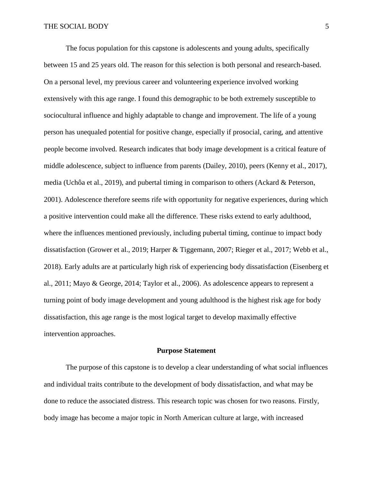The focus population for this capstone is adolescents and young adults, specifically between 15 and 25 years old. The reason for this selection is both personal and research-based. On a personal level, my previous career and volunteering experience involved working extensively with this age range. I found this demographic to be both extremely susceptible to sociocultural influence and highly adaptable to change and improvement. The life of a young person has unequaled potential for positive change, especially if prosocial, caring, and attentive people become involved. Research indicates that body image development is a critical feature of middle adolescence, subject to influence from parents (Dailey, 2010), peers (Kenny et al., 2017), media (Uchôa et al., 2019), and pubertal timing in comparison to others (Ackard & Peterson, 2001). Adolescence therefore seems rife with opportunity for negative experiences, during which a positive intervention could make all the difference. These risks extend to early adulthood, where the influences mentioned previously, including pubertal timing, continue to impact body dissatisfaction (Grower et al., 2019; Harper & Tiggemann, 2007; Rieger et al., 2017; Webb et al., 2018). Early adults are at particularly high risk of experiencing body dissatisfaction (Eisenberg et al., 2011; Mayo & George, 2014; Taylor et al., 2006). As adolescence appears to represent a turning point of body image development and young adulthood is the highest risk age for body dissatisfaction, this age range is the most logical target to develop maximally effective intervention approaches.

#### **Purpose Statement**

<span id="page-10-0"></span>The purpose of this capstone is to develop a clear understanding of what social influences and individual traits contribute to the development of body dissatisfaction, and what may be done to reduce the associated distress. This research topic was chosen for two reasons. Firstly, body image has become a major topic in North American culture at large, with increased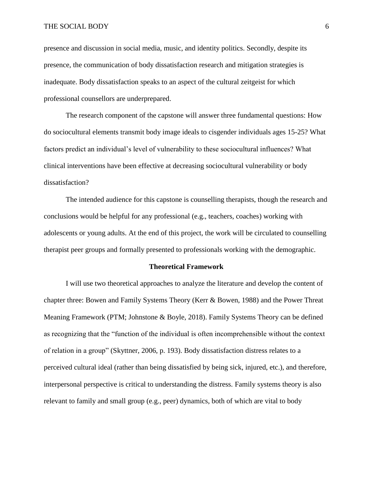#### THE SOCIAL BODY 6

presence and discussion in social media, music, and identity politics. Secondly, despite its presence, the communication of body dissatisfaction research and mitigation strategies is inadequate. Body dissatisfaction speaks to an aspect of the cultural zeitgeist for which professional counsellors are underprepared.

The research component of the capstone will answer three fundamental questions: How do sociocultural elements transmit body image ideals to cisgender individuals ages 15-25? What factors predict an individual's level of vulnerability to these sociocultural influences? What clinical interventions have been effective at decreasing sociocultural vulnerability or body dissatisfaction?

The intended audience for this capstone is counselling therapists, though the research and conclusions would be helpful for any professional (e.g., teachers, coaches) working with adolescents or young adults. At the end of this project, the work will be circulated to counselling therapist peer groups and formally presented to professionals working with the demographic.

#### **Theoretical Framework**

<span id="page-11-0"></span>I will use two theoretical approaches to analyze the literature and develop the content of chapter three: Bowen and Family Systems Theory (Kerr & Bowen, 1988) and the Power Threat Meaning Framework (PTM; Johnstone & Boyle, 2018). Family Systems Theory can be defined as recognizing that the "function of the individual is often incomprehensible without the context of relation in a group" (Skyttner, 2006, p. 193). Body dissatisfaction distress relates to a perceived cultural ideal (rather than being dissatisfied by being sick, injured, etc.), and therefore, interpersonal perspective is critical to understanding the distress. Family systems theory is also relevant to family and small group (e.g., peer) dynamics, both of which are vital to body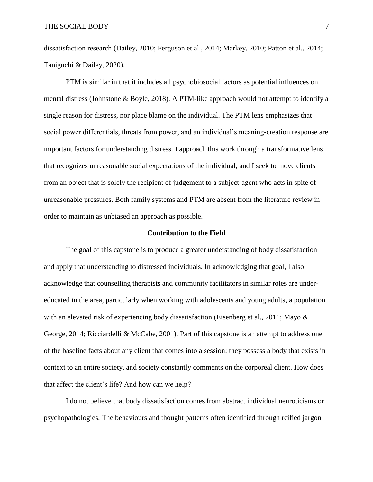dissatisfaction research (Dailey, 2010; Ferguson et al., 2014; Markey, 2010; Patton et al., 2014; Taniguchi & Dailey, 2020).

PTM is similar in that it includes all psychobiosocial factors as potential influences on mental distress (Johnstone & Boyle, 2018). A PTM-like approach would not attempt to identify a single reason for distress, nor place blame on the individual. The PTM lens emphasizes that social power differentials, threats from power, and an individual's meaning-creation response are important factors for understanding distress. I approach this work through a transformative lens that recognizes unreasonable social expectations of the individual, and I seek to move clients from an object that is solely the recipient of judgement to a subject-agent who acts in spite of unreasonable pressures. Both family systems and PTM are absent from the literature review in order to maintain as unbiased an approach as possible.

#### **Contribution to the Field**

<span id="page-12-0"></span>The goal of this capstone is to produce a greater understanding of body dissatisfaction and apply that understanding to distressed individuals. In acknowledging that goal, I also acknowledge that counselling therapists and community facilitators in similar roles are undereducated in the area, particularly when working with adolescents and young adults, a population with an elevated risk of experiencing body dissatisfaction (Eisenberg et al., 2011; Mayo & George, 2014; Ricciardelli & McCabe, 2001). Part of this capstone is an attempt to address one of the baseline facts about any client that comes into a session: they possess a body that exists in context to an entire society, and society constantly comments on the corporeal client. How does that affect the client's life? And how can we help?

I do not believe that body dissatisfaction comes from abstract individual neuroticisms or psychopathologies. The behaviours and thought patterns often identified through reified jargon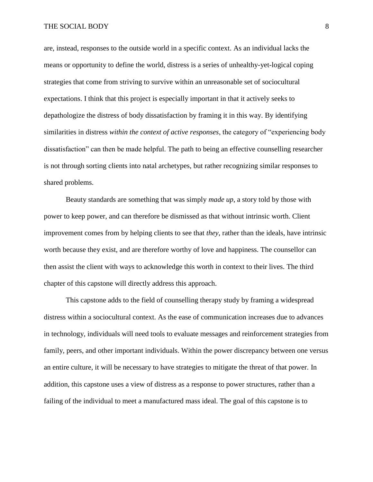#### THE SOCIAL BODY 8

are, instead, responses to the outside world in a specific context. As an individual lacks the means or opportunity to define the world, distress is a series of unhealthy-yet-logical coping strategies that come from striving to survive within an unreasonable set of sociocultural expectations. I think that this project is especially important in that it actively seeks to depathologize the distress of body dissatisfaction by framing it in this way. By identifying similarities in distress *within the context of active responses*, the category of "experiencing body dissatisfaction" can then be made helpful. The path to being an effective counselling researcher is not through sorting clients into natal archetypes, but rather recognizing similar responses to shared problems.

Beauty standards are something that was simply *made up*, a story told by those with power to keep power, and can therefore be dismissed as that without intrinsic worth. Client improvement comes from by helping clients to see that *they*, rather than the ideals, have intrinsic worth because they exist, and are therefore worthy of love and happiness. The counsellor can then assist the client with ways to acknowledge this worth in context to their lives. The third chapter of this capstone will directly address this approach.

This capstone adds to the field of counselling therapy study by framing a widespread distress within a sociocultural context. As the ease of communication increases due to advances in technology, individuals will need tools to evaluate messages and reinforcement strategies from family, peers, and other important individuals. Within the power discrepancy between one versus an entire culture, it will be necessary to have strategies to mitigate the threat of that power. In addition, this capstone uses a view of distress as a response to power structures, rather than a failing of the individual to meet a manufactured mass ideal. The goal of this capstone is to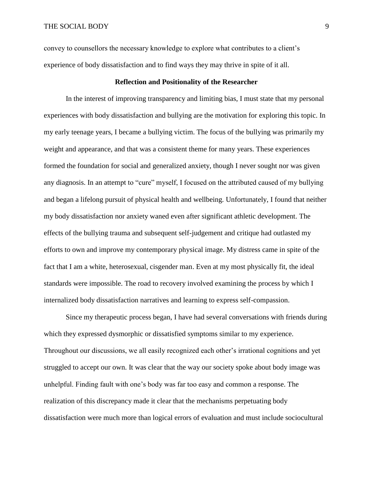convey to counsellors the necessary knowledge to explore what contributes to a client's experience of body dissatisfaction and to find ways they may thrive in spite of it all.

#### **Reflection and Positionality of the Researcher**

<span id="page-14-0"></span>In the interest of improving transparency and limiting bias, I must state that my personal experiences with body dissatisfaction and bullying are the motivation for exploring this topic. In my early teenage years, I became a bullying victim. The focus of the bullying was primarily my weight and appearance, and that was a consistent theme for many years. These experiences formed the foundation for social and generalized anxiety, though I never sought nor was given any diagnosis. In an attempt to "cure" myself, I focused on the attributed caused of my bullying and began a lifelong pursuit of physical health and wellbeing. Unfortunately, I found that neither my body dissatisfaction nor anxiety waned even after significant athletic development. The effects of the bullying trauma and subsequent self-judgement and critique had outlasted my efforts to own and improve my contemporary physical image. My distress came in spite of the fact that I am a white, heterosexual, cisgender man. Even at my most physically fit, the ideal standards were impossible. The road to recovery involved examining the process by which I internalized body dissatisfaction narratives and learning to express self-compassion.

Since my therapeutic process began, I have had several conversations with friends during which they expressed dysmorphic or dissatisfied symptoms similar to my experience. Throughout our discussions, we all easily recognized each other's irrational cognitions and yet struggled to accept our own. It was clear that the way our society spoke about body image was unhelpful. Finding fault with one's body was far too easy and common a response. The realization of this discrepancy made it clear that the mechanisms perpetuating body dissatisfaction were much more than logical errors of evaluation and must include sociocultural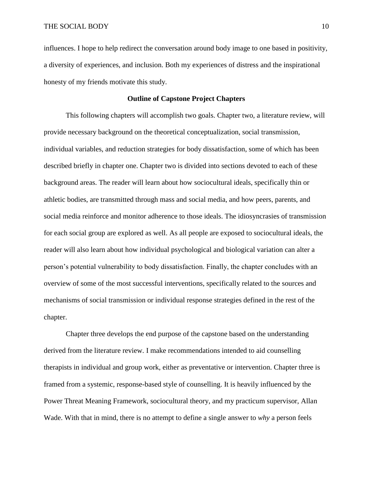influences. I hope to help redirect the conversation around body image to one based in positivity, a diversity of experiences, and inclusion. Both my experiences of distress and the inspirational honesty of my friends motivate this study.

## **Outline of Capstone Project Chapters**

<span id="page-15-0"></span>This following chapters will accomplish two goals. Chapter two, a literature review, will provide necessary background on the theoretical conceptualization, social transmission, individual variables, and reduction strategies for body dissatisfaction, some of which has been described briefly in chapter one. Chapter two is divided into sections devoted to each of these background areas. The reader will learn about how sociocultural ideals, specifically thin or athletic bodies, are transmitted through mass and social media, and how peers, parents, and social media reinforce and monitor adherence to those ideals. The idiosyncrasies of transmission for each social group are explored as well. As all people are exposed to sociocultural ideals, the reader will also learn about how individual psychological and biological variation can alter a person's potential vulnerability to body dissatisfaction. Finally, the chapter concludes with an overview of some of the most successful interventions, specifically related to the sources and mechanisms of social transmission or individual response strategies defined in the rest of the chapter.

Chapter three develops the end purpose of the capstone based on the understanding derived from the literature review. I make recommendations intended to aid counselling therapists in individual and group work, either as preventative or intervention. Chapter three is framed from a systemic, response-based style of counselling. It is heavily influenced by the Power Threat Meaning Framework, sociocultural theory, and my practicum supervisor, Allan Wade. With that in mind, there is no attempt to define a single answer to *why* a person feels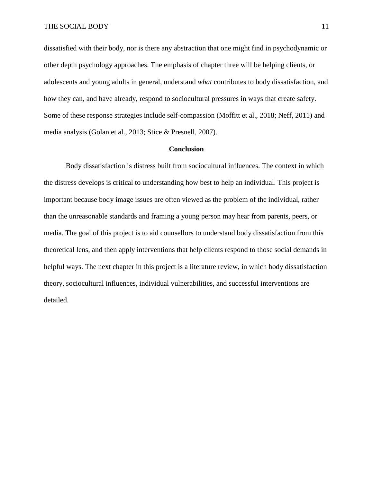dissatisfied with their body, nor is there any abstraction that one might find in psychodynamic or other depth psychology approaches. The emphasis of chapter three will be helping clients, or adolescents and young adults in general, understand *what* contributes to body dissatisfaction, and how they can, and have already, respond to sociocultural pressures in ways that create safety. Some of these response strategies include self-compassion (Moffitt et al., 2018; Neff, 2011) and media analysis (Golan et al., 2013; Stice & Presnell, 2007).

## **Conclusion**

Body dissatisfaction is distress built from sociocultural influences. The context in which the distress develops is critical to understanding how best to help an individual. This project is important because body image issues are often viewed as the problem of the individual, rather than the unreasonable standards and framing a young person may hear from parents, peers, or media. The goal of this project is to aid counsellors to understand body dissatisfaction from this theoretical lens, and then apply interventions that help clients respond to those social demands in helpful ways. The next chapter in this project is a literature review, in which body dissatisfaction theory, sociocultural influences, individual vulnerabilities, and successful interventions are detailed.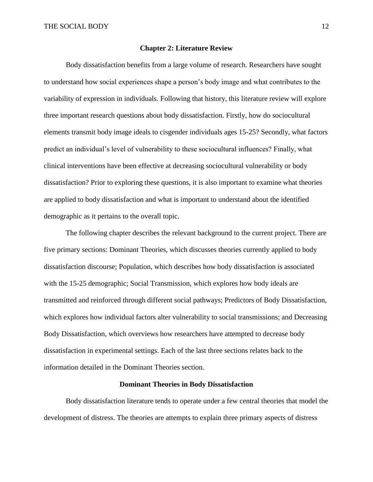#### **Chapter 2: Literature Review**

<span id="page-17-0"></span>Body dissatisfaction benefits from a large volume of research. Researchers have sought to understand how social experiences shape a person's body image and what contributes to the variability of expression in individuals. Following that history, this literature review will explore three important research questions about body dissatisfaction. Firstly, how do sociocultural elements transmit body image ideals to cisgender individuals ages 15-25? Secondly, what factors predict an individual's level of vulnerability to these sociocultural influences? Finally, what clinical interventions have been effective at decreasing sociocultural vulnerability or body dissatisfaction? Prior to exploring these questions, it is also important to examine what theories are applied to body dissatisfaction and what is important to understand about the identified demographic as it pertains to the overall topic.

The following chapter describes the relevant background to the current project. There are five primary sections: Dominant Theories, which discusses theories currently applied to body dissatisfaction discourse; Population, which describes how body dissatisfaction is associated with the 15-25 demographic; Social Transmission, which explores how body ideals are transmitted and reinforced through different social pathways; Predictors of Body Dissatisfaction, which explores how individual factors alter vulnerability to social transmissions; and Decreasing Body Dissatisfaction, which overviews how researchers have attempted to decrease body dissatisfaction in experimental settings. Each of the last three sections relates back to the information detailed in the Dominant Theories section.

#### **Dominant Theories in Body Dissatisfaction**

<span id="page-17-1"></span>Body dissatisfaction literature tends to operate under a few central theories that model the development of distress. The theories are attempts to explain three primary aspects of distress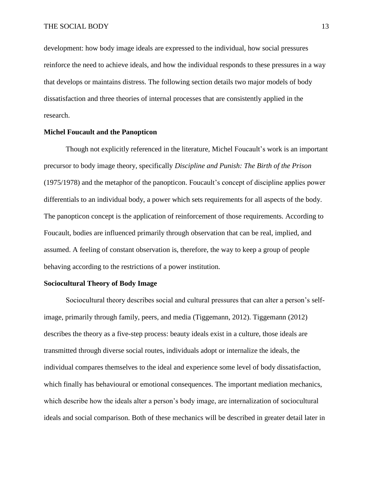development: how body image ideals are expressed to the individual, how social pressures reinforce the need to achieve ideals, and how the individual responds to these pressures in a way that develops or maintains distress. The following section details two major models of body dissatisfaction and three theories of internal processes that are consistently applied in the research.

### <span id="page-18-0"></span>**Michel Foucault and the Panopticon**

Though not explicitly referenced in the literature, Michel Foucault's work is an important precursor to body image theory, specifically *Discipline and Punish: The Birth of the Prison* (1975/1978) and the metaphor of the panopticon. Foucault's concept of discipline applies power differentials to an individual body, a power which sets requirements for all aspects of the body. The panopticon concept is the application of reinforcement of those requirements. According to Foucault, bodies are influenced primarily through observation that can be real, implied, and assumed. A feeling of constant observation is, therefore, the way to keep a group of people behaving according to the restrictions of a power institution.

### <span id="page-18-1"></span>**Sociocultural Theory of Body Image**

Sociocultural theory describes social and cultural pressures that can alter a person's selfimage, primarily through family, peers, and media (Tiggemann, 2012). Tiggemann (2012) describes the theory as a five-step process: beauty ideals exist in a culture, those ideals are transmitted through diverse social routes, individuals adopt or internalize the ideals, the individual compares themselves to the ideal and experience some level of body dissatisfaction, which finally has behavioural or emotional consequences. The important mediation mechanics, which describe how the ideals alter a person's body image, are internalization of sociocultural ideals and social comparison. Both of these mechanics will be described in greater detail later in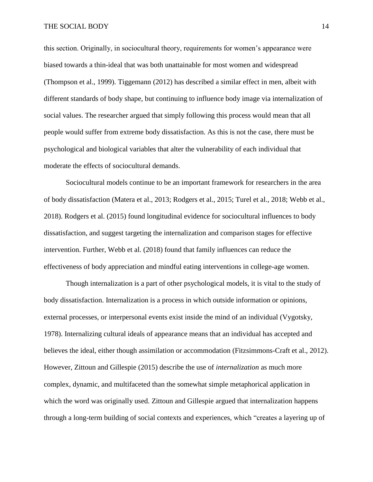this section. Originally, in sociocultural theory, requirements for women's appearance were biased towards a thin-ideal that was both unattainable for most women and widespread (Thompson et al., 1999). Tiggemann (2012) has described a similar effect in men, albeit with different standards of body shape, but continuing to influence body image via internalization of social values. The researcher argued that simply following this process would mean that all people would suffer from extreme body dissatisfaction. As this is not the case, there must be psychological and biological variables that alter the vulnerability of each individual that moderate the effects of sociocultural demands.

Sociocultural models continue to be an important framework for researchers in the area of body dissatisfaction (Matera et al., 2013; Rodgers et al., 2015; Turel et al., 2018; Webb et al., 2018). Rodgers et al. (2015) found longitudinal evidence for sociocultural influences to body dissatisfaction, and suggest targeting the internalization and comparison stages for effective intervention. Further, Webb et al. (2018) found that family influences can reduce the effectiveness of body appreciation and mindful eating interventions in college-age women.

Though internalization is a part of other psychological models, it is vital to the study of body dissatisfaction. Internalization is a process in which outside information or opinions, external processes, or interpersonal events exist inside the mind of an individual (Vygotsky, 1978). Internalizing cultural ideals of appearance means that an individual has accepted and believes the ideal, either though assimilation or accommodation (Fitzsimmons-Craft et al., 2012). However, Zittoun and Gillespie (2015) describe the use of *internalization* as much more complex, dynamic, and multifaceted than the somewhat simple metaphorical application in which the word was originally used. Zittoun and Gillespie argued that internalization happens through a long-term building of social contexts and experiences, which "creates a layering up of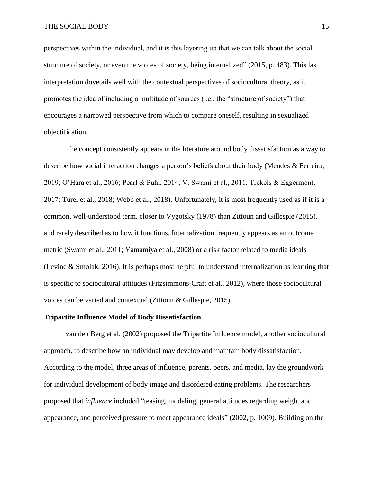#### THE SOCIAL BODY 15

perspectives within the individual, and it is this layering up that we can talk about the social structure of society, or even the voices of society, being internalized" (2015, p. 483). This last interpretation dovetails well with the contextual perspectives of sociocultural theory, as it promotes the idea of including a multitude of sources (i.e., the "structure of society") that encourages a narrowed perspective from which to compare oneself, resulting in sexualized objectification.

The concept consistently appears in the literature around body dissatisfaction as a way to describe how social interaction changes a person's beliefs about their body (Mendes & Ferreira, 2019; O'Hara et al., 2016; Pearl & Puhl, 2014; V. Swami et al., 2011; Trekels & Eggermont, 2017; Turel et al., 2018; Webb et al., 2018). Unfortunately, it is most frequently used as if it is a common, well-understood term, closer to Vygotsky (1978) than Zittoun and Gillespie (2015), and rarely described as to how it functions. Internalization frequently appears as an outcome metric (Swami et al., 2011; Yamamiya et al., 2008) or a risk factor related to media ideals (Levine & Smolak, 2016). It is perhaps most helpful to understand internalization as learning that is specific to sociocultural attitudes (Fitzsimmons-Craft et al., 2012), where those sociocultural voices can be varied and contextual (Zittoun & Gillespie, 2015).

#### <span id="page-20-0"></span>**Tripartite Influence Model of Body Dissatisfaction**

van den Berg et al. (2002) proposed the Tripartite Influence model, another sociocultural approach, to describe how an individual may develop and maintain body dissatisfaction. According to the model, three areas of influence, parents, peers, and media, lay the groundwork for individual development of body image and disordered eating problems. The researchers proposed that *influence* included "teasing, modeling, general attitudes regarding weight and appearance, and perceived pressure to meet appearance ideals" (2002, p. 1009). Building on the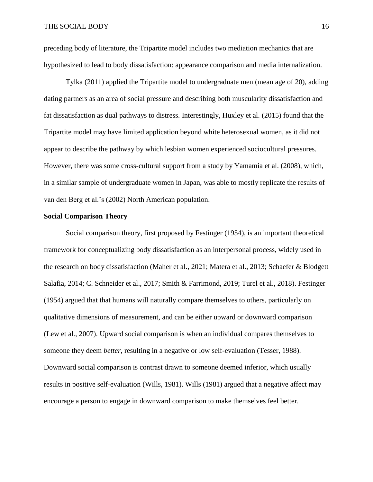preceding body of literature, the Tripartite model includes two mediation mechanics that are hypothesized to lead to body dissatisfaction: appearance comparison and media internalization.

Tylka (2011) applied the Tripartite model to undergraduate men (mean age of 20), adding dating partners as an area of social pressure and describing both muscularity dissatisfaction and fat dissatisfaction as dual pathways to distress. Interestingly, Huxley et al. (2015) found that the Tripartite model may have limited application beyond white heterosexual women, as it did not appear to describe the pathway by which lesbian women experienced sociocultural pressures. However, there was some cross-cultural support from a study by Yamamia et al. (2008), which, in a similar sample of undergraduate women in Japan, was able to mostly replicate the results of van den Berg et al.'s (2002) North American population.

#### <span id="page-21-0"></span>**Social Comparison Theory**

Social comparison theory, first proposed by Festinger (1954), is an important theoretical framework for conceptualizing body dissatisfaction as an interpersonal process, widely used in the research on body dissatisfaction (Maher et al., 2021; Matera et al., 2013; Schaefer & Blodgett Salafia, 2014; C. Schneider et al., 2017; Smith & Farrimond, 2019; Turel et al., 2018). Festinger (1954) argued that that humans will naturally compare themselves to others, particularly on qualitative dimensions of measurement, and can be either upward or downward comparison (Lew et al., 2007). Upward social comparison is when an individual compares themselves to someone they deem *better*, resulting in a negative or low self-evaluation (Tesser, 1988). Downward social comparison is contrast drawn to someone deemed inferior, which usually results in positive self-evaluation (Wills, 1981). Wills (1981) argued that a negative affect may encourage a person to engage in downward comparison to make themselves feel better.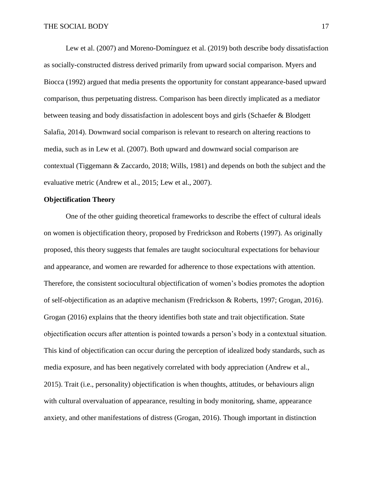Lew et al. (2007) and Moreno-Domínguez et al. (2019) both describe body dissatisfaction as socially-constructed distress derived primarily from upward social comparison. Myers and Biocca (1992) argued that media presents the opportunity for constant appearance-based upward comparison, thus perpetuating distress. Comparison has been directly implicated as a mediator between teasing and body dissatisfaction in adolescent boys and girls (Schaefer & Blodgett Salafia, 2014). Downward social comparison is relevant to research on altering reactions to media, such as in Lew et al. (2007). Both upward and downward social comparison are contextual (Tiggemann & Zaccardo, 2018; Wills, 1981) and depends on both the subject and the evaluative metric (Andrew et al., 2015; Lew et al., 2007).

## <span id="page-22-0"></span>**Objectification Theory**

One of the other guiding theoretical frameworks to describe the effect of cultural ideals on women is objectification theory, proposed by Fredrickson and Roberts (1997). As originally proposed, this theory suggests that females are taught sociocultural expectations for behaviour and appearance, and women are rewarded for adherence to those expectations with attention. Therefore, the consistent sociocultural objectification of women's bodies promotes the adoption of self-objectification as an adaptive mechanism (Fredrickson & Roberts, 1997; Grogan, 2016). Grogan (2016) explains that the theory identifies both state and trait objectification. State objectification occurs after attention is pointed towards a person's body in a contextual situation. This kind of objectification can occur during the perception of idealized body standards, such as media exposure, and has been negatively correlated with body appreciation (Andrew et al., 2015). Trait (i.e., personality) objectification is when thoughts, attitudes, or behaviours align with cultural overvaluation of appearance, resulting in body monitoring, shame, appearance anxiety, and other manifestations of distress (Grogan, 2016). Though important in distinction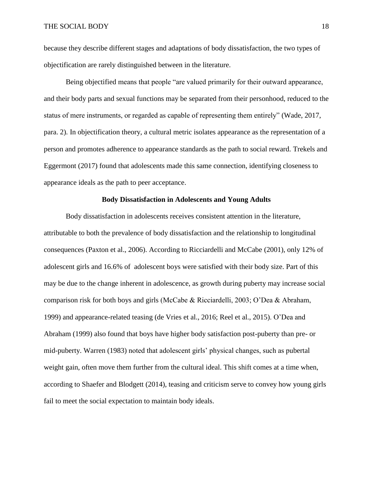because they describe different stages and adaptations of body dissatisfaction, the two types of objectification are rarely distinguished between in the literature.

Being objectified means that people "are valued primarily for their outward appearance, and their body parts and sexual functions may be separated from their personhood, reduced to the status of mere instruments, or regarded as capable of representing them entirely" (Wade, 2017, para. 2). In objectification theory, a cultural metric isolates appearance as the representation of a person and promotes adherence to appearance standards as the path to social reward. Trekels and Eggermont (2017) found that adolescents made this same connection, identifying closeness to appearance ideals as the path to peer acceptance.

#### **Body Dissatisfaction in Adolescents and Young Adults**

<span id="page-23-0"></span>Body dissatisfaction in adolescents receives consistent attention in the literature, attributable to both the prevalence of body dissatisfaction and the relationship to longitudinal consequences (Paxton et al., 2006). According to Ricciardelli and McCabe (2001), only 12% of adolescent girls and 16.6% of adolescent boys were satisfied with their body size. Part of this may be due to the change inherent in adolescence, as growth during puberty may increase social comparison risk for both boys and girls (McCabe & Ricciardelli, 2003; O'Dea & Abraham, 1999) and appearance-related teasing (de Vries et al., 2016; Reel et al., 2015). O'Dea and Abraham (1999) also found that boys have higher body satisfaction post-puberty than pre- or mid-puberty. Warren (1983) noted that adolescent girls' physical changes, such as pubertal weight gain, often move them further from the cultural ideal. This shift comes at a time when, according to Shaefer and Blodgett (2014), teasing and criticism serve to convey how young girls fail to meet the social expectation to maintain body ideals.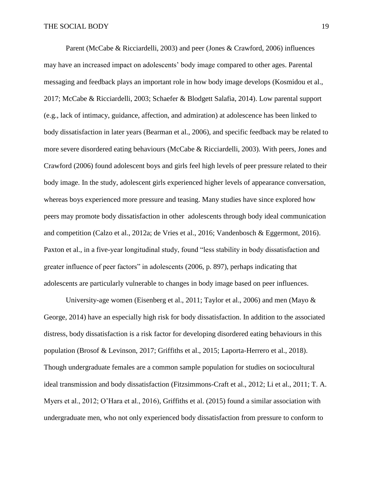Parent (McCabe & Ricciardelli, 2003) and peer (Jones & Crawford, 2006) influences may have an increased impact on adolescents' body image compared to other ages. Parental messaging and feedback plays an important role in how body image develops (Kosmidou et al., 2017; McCabe & Ricciardelli, 2003; Schaefer & Blodgett Salafia, 2014). Low parental support (e.g., lack of intimacy, guidance, affection, and admiration) at adolescence has been linked to body dissatisfaction in later years (Bearman et al., 2006), and specific feedback may be related to more severe disordered eating behaviours (McCabe & Ricciardelli, 2003). With peers, Jones and Crawford (2006) found adolescent boys and girls feel high levels of peer pressure related to their body image. In the study, adolescent girls experienced higher levels of appearance conversation, whereas boys experienced more pressure and teasing. Many studies have since explored how peers may promote body dissatisfaction in other adolescents through body ideal communication and competition (Calzo et al., 2012a; de Vries et al., 2016; Vandenbosch & Eggermont, 2016). Paxton et al., in a five-year longitudinal study, found "less stability in body dissatisfaction and greater influence of peer factors" in adolescents (2006, p. 897), perhaps indicating that adolescents are particularly vulnerable to changes in body image based on peer influences.

University-age women (Eisenberg et al., 2011; Taylor et al., 2006) and men (Mayo  $\&$ George, 2014) have an especially high risk for body dissatisfaction. In addition to the associated distress, body dissatisfaction is a risk factor for developing disordered eating behaviours in this population (Brosof & Levinson, 2017; Griffiths et al., 2015; Laporta-Herrero et al., 2018). Though undergraduate females are a common sample population for studies on sociocultural ideal transmission and body dissatisfaction (Fitzsimmons-Craft et al., 2012; Li et al., 2011; T. A. Myers et al., 2012; O'Hara et al., 2016), Griffiths et al. (2015) found a similar association with undergraduate men, who not only experienced body dissatisfaction from pressure to conform to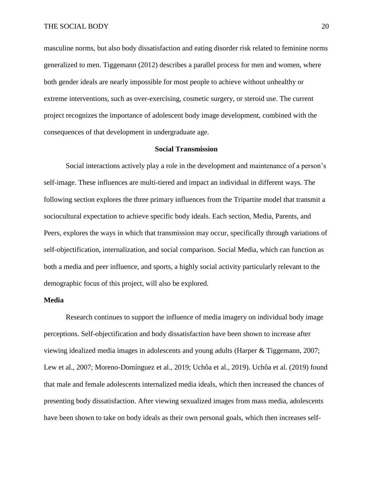masculine norms, but also body dissatisfaction and eating disorder risk related to feminine norms generalized to men. Tiggemann (2012) describes a parallel process for men and women, where both gender ideals are nearly impossible for most people to achieve without unhealthy or extreme interventions, such as over-exercising, cosmetic surgery, or steroid use. The current project recognizes the importance of adolescent body image development, combined with the consequences of that development in undergraduate age.

#### **Social Transmission**

<span id="page-25-0"></span>Social interactions actively play a role in the development and maintenance of a person's self-image. These influences are multi-tiered and impact an individual in different ways. The following section explores the three primary influences from the Tripartite model that transmit a sociocultural expectation to achieve specific body ideals. Each section, Media, Parents, and Peers, explores the ways in which that transmission may occur, specifically through variations of self-objectification, internalization, and social comparison. Social Media, which can function as both a media and peer influence, and sports, a highly social activity particularly relevant to the demographic focus of this project, will also be explored.

## <span id="page-25-1"></span>**Media**

Research continues to support the influence of media imagery on individual body image perceptions. Self-objectification and body dissatisfaction have been shown to increase after viewing idealized media images in adolescents and young adults (Harper & Tiggemann, 2007; Lew et al., 2007; Moreno-Domínguez et al., 2019; Uchôa et al., 2019). Uchôa et al. (2019) found that male and female adolescents internalized media ideals, which then increased the chances of presenting body dissatisfaction. After viewing sexualized images from mass media, adolescents have been shown to take on body ideals as their own personal goals, which then increases self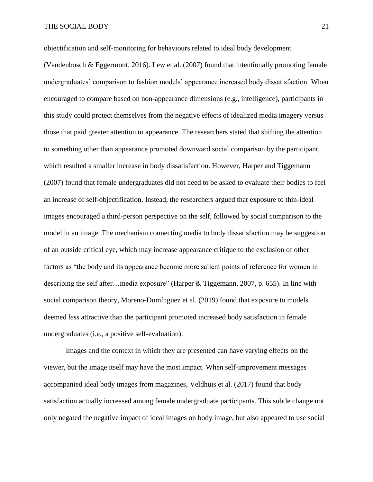objectification and self-monitoring for behaviours related to ideal body development

(Vandenbosch & Eggermont, 2016). Lew et al. (2007) found that intentionally promoting female undergraduates' comparison to fashion models' appearance increased body dissatisfaction. When encouraged to compare based on non-appearance dimensions (e.g., intelligence), participants in this study could protect themselves from the negative effects of idealized media imagery versus those that paid greater attention to appearance. The researchers stated that shifting the attention to something other than appearance promoted downward social comparison by the participant, which resulted a smaller increase in body dissatisfaction. However, Harper and Tiggemann (2007) found that female undergraduates did not need to be asked to evaluate their bodies to feel an increase of self-objectification. Instead, the researchers argued that exposure to thin-ideal images encouraged a third-person perspective on the self, followed by social comparison to the model in an image. The mechanism connecting media to body dissatisfaction may be suggestion of an outside critical eye, which may increase appearance critique to the exclusion of other factors as "the body and its appearance become more salient points of reference for women in describing the self after…media exposure" (Harper & Tiggemann, 2007, p. 655). In line with social comparison theory, Moreno-Domínguez et al. (2019) found that exposure to models deemed *less* attractive than the participant promoted increased body satisfaction in female undergraduates (i.e., a positive self-evaluation).

Images and the context in which they are presented can have varying effects on the viewer, but the image itself may have the most impact. When self-improvement messages accompanied ideal body images from magazines, Veldhuis et al. (2017) found that body satisfaction actually increased among female undergraduate participants. This subtle change not only negated the negative impact of ideal images on body image, but also appeared to use social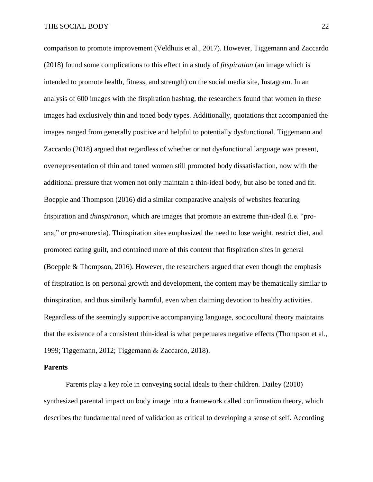comparison to promote improvement (Veldhuis et al., 2017). However, Tiggemann and Zaccardo (2018) found some complications to this effect in a study of *fitspiration* (an image which is intended to promote health, fitness, and strength) on the social media site, Instagram. In an analysis of 600 images with the fitspiration hashtag, the researchers found that women in these images had exclusively thin and toned body types. Additionally, quotations that accompanied the images ranged from generally positive and helpful to potentially dysfunctional. Tiggemann and Zaccardo (2018) argued that regardless of whether or not dysfunctional language was present, overrepresentation of thin and toned women still promoted body dissatisfaction, now with the additional pressure that women not only maintain a thin-ideal body, but also be toned and fit. Boepple and Thompson (2016) did a similar comparative analysis of websites featuring fitspiration and *thinspiration*, which are images that promote an extreme thin-ideal (i.e. "proana," or pro-anorexia). Thinspiration sites emphasized the need to lose weight, restrict diet, and promoted eating guilt, and contained more of this content that fitspiration sites in general (Boepple & Thompson, 2016). However, the researchers argued that even though the emphasis of fitspiration is on personal growth and development, the content may be thematically similar to thinspiration, and thus similarly harmful, even when claiming devotion to healthy activities. Regardless of the seemingly supportive accompanying language, sociocultural theory maintains that the existence of a consistent thin-ideal is what perpetuates negative effects (Thompson et al., 1999; Tiggemann, 2012; Tiggemann & Zaccardo, 2018).

## <span id="page-27-0"></span>**Parents**

Parents play a key role in conveying social ideals to their children. Dailey (2010) synthesized parental impact on body image into a framework called confirmation theory, which describes the fundamental need of validation as critical to developing a sense of self. According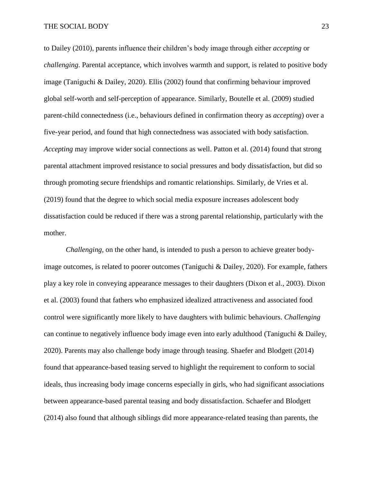to Dailey (2010), parents influence their children's body image through either *accepting* or *challenging*. Parental acceptance, which involves warmth and support, is related to positive body image (Taniguchi & Dailey, 2020). Ellis (2002) found that confirming behaviour improved global self-worth and self-perception of appearance. Similarly, Boutelle et al. (2009) studied parent-child connectedness (i.e., behaviours defined in confirmation theory as *accepting*) over a five-year period, and found that high connectedness was associated with body satisfaction. *Accepting* may improve wider social connections as well. Patton et al. (2014) found that strong parental attachment improved resistance to social pressures and body dissatisfaction, but did so through promoting secure friendships and romantic relationships. Similarly, de Vries et al. (2019) found that the degree to which social media exposure increases adolescent body dissatisfaction could be reduced if there was a strong parental relationship, particularly with the mother.

*Challenging*, on the other hand, is intended to push a person to achieve greater bodyimage outcomes, is related to poorer outcomes (Taniguchi & Dailey, 2020). For example, fathers play a key role in conveying appearance messages to their daughters (Dixon et al., 2003). Dixon et al. (2003) found that fathers who emphasized idealized attractiveness and associated food control were significantly more likely to have daughters with bulimic behaviours. *Challenging* can continue to negatively influence body image even into early adulthood (Taniguchi & Dailey, 2020). Parents may also challenge body image through teasing. Shaefer and Blodgett (2014) found that appearance-based teasing served to highlight the requirement to conform to social ideals, thus increasing body image concerns especially in girls, who had significant associations between appearance-based parental teasing and body dissatisfaction. Schaefer and Blodgett (2014) also found that although siblings did more appearance-related teasing than parents, the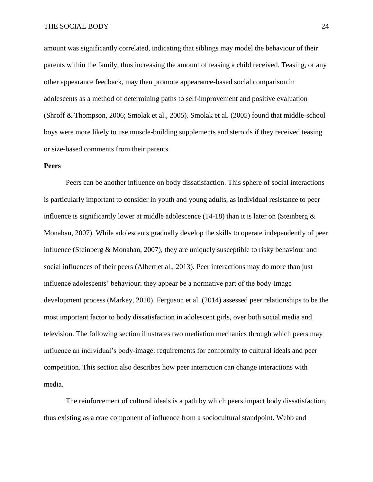amount was significantly correlated, indicating that siblings may model the behaviour of their parents within the family, thus increasing the amount of teasing a child received. Teasing, or any other appearance feedback, may then promote appearance-based social comparison in adolescents as a method of determining paths to self-improvement and positive evaluation (Shroff & Thompson, 2006; Smolak et al., 2005). Smolak et al. (2005) found that middle-school boys were more likely to use muscle-building supplements and steroids if they received teasing or size-based comments from their parents.

## <span id="page-29-0"></span>**Peers**

Peers can be another influence on body dissatisfaction. This sphere of social interactions is particularly important to consider in youth and young adults, as individual resistance to peer influence is significantly lower at middle adolescence (14-18) than it is later on (Steinberg  $\&$ Monahan, 2007). While adolescents gradually develop the skills to operate independently of peer influence (Steinberg & Monahan, 2007), they are uniquely susceptible to risky behaviour and social influences of their peers (Albert et al., 2013). Peer interactions may do more than just influence adolescents' behaviour; they appear be a normative part of the body-image development process (Markey, 2010). Ferguson et al. (2014) assessed peer relationships to be the most important factor to body dissatisfaction in adolescent girls, over both social media and television. The following section illustrates two mediation mechanics through which peers may influence an individual's body-image: requirements for conformity to cultural ideals and peer competition. This section also describes how peer interaction can change interactions with media.

The reinforcement of cultural ideals is a path by which peers impact body dissatisfaction, thus existing as a core component of influence from a sociocultural standpoint. Webb and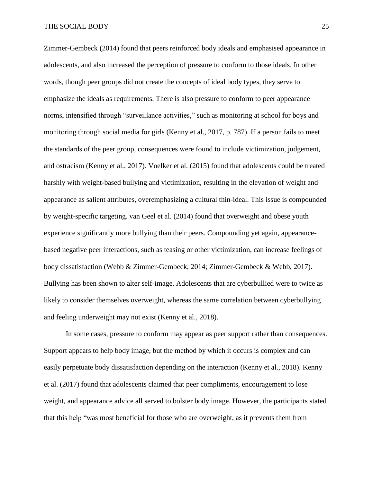Zimmer-Gembeck (2014) found that peers reinforced body ideals and emphasised appearance in adolescents, and also increased the perception of pressure to conform to those ideals. In other words, though peer groups did not create the concepts of ideal body types, they serve to emphasize the ideals as requirements. There is also pressure to conform to peer appearance norms, intensified through "surveillance activities," such as monitoring at school for boys and monitoring through social media for girls (Kenny et al., 2017, p. 787). If a person fails to meet the standards of the peer group, consequences were found to include victimization, judgement, and ostracism (Kenny et al., 2017). Voelker et al. (2015) found that adolescents could be treated harshly with weight-based bullying and victimization, resulting in the elevation of weight and appearance as salient attributes, overemphasizing a cultural thin-ideal. This issue is compounded by weight-specific targeting. van Geel et al. (2014) found that overweight and obese youth experience significantly more bullying than their peers. Compounding yet again, appearancebased negative peer interactions, such as teasing or other victimization, can increase feelings of body dissatisfaction (Webb & Zimmer-Gembeck, 2014; Zimmer-Gembeck & Webb, 2017). Bullying has been shown to alter self-image. Adolescents that are cyberbullied were to twice as likely to consider themselves overweight, whereas the same correlation between cyberbullying and feeling underweight may not exist (Kenny et al., 2018).

In some cases, pressure to conform may appear as peer support rather than consequences. Support appears to help body image, but the method by which it occurs is complex and can easily perpetuate body dissatisfaction depending on the interaction (Kenny et al., 2018). Kenny et al. (2017) found that adolescents claimed that peer compliments, encouragement to lose weight, and appearance advice all served to bolster body image. However, the participants stated that this help "was most beneficial for those who are overweight, as it prevents them from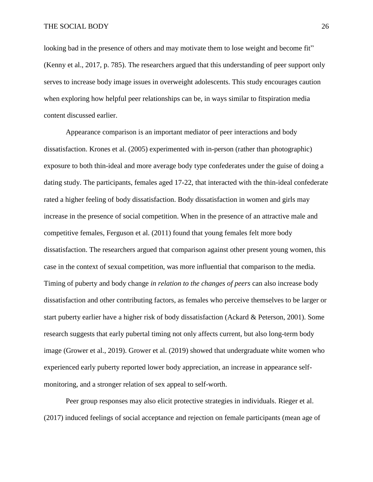looking bad in the presence of others and may motivate them to lose weight and become fit" (Kenny et al., 2017, p. 785). The researchers argued that this understanding of peer support only serves to increase body image issues in overweight adolescents. This study encourages caution when exploring how helpful peer relationships can be, in ways similar to fitspiration media content discussed earlier.

Appearance comparison is an important mediator of peer interactions and body dissatisfaction. Krones et al. (2005) experimented with in-person (rather than photographic) exposure to both thin-ideal and more average body type confederates under the guise of doing a dating study. The participants, females aged 17-22, that interacted with the thin-ideal confederate rated a higher feeling of body dissatisfaction. Body dissatisfaction in women and girls may increase in the presence of social competition. When in the presence of an attractive male and competitive females, Ferguson et al. (2011) found that young females felt more body dissatisfaction. The researchers argued that comparison against other present young women, this case in the context of sexual competition, was more influential that comparison to the media. Timing of puberty and body change *in relation to the changes of peers* can also increase body dissatisfaction and other contributing factors, as females who perceive themselves to be larger or start puberty earlier have a higher risk of body dissatisfaction (Ackard & Peterson, 2001). Some research suggests that early pubertal timing not only affects current, but also long-term body image (Grower et al., 2019). Grower et al. (2019) showed that undergraduate white women who experienced early puberty reported lower body appreciation, an increase in appearance selfmonitoring, and a stronger relation of sex appeal to self-worth.

Peer group responses may also elicit protective strategies in individuals. Rieger et al. (2017) induced feelings of social acceptance and rejection on female participants (mean age of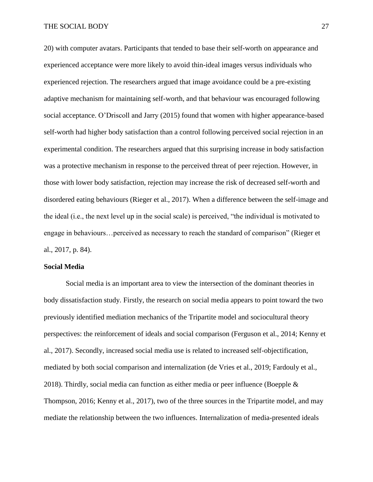#### THE SOCIAL BODY 27

20) with computer avatars. Participants that tended to base their self-worth on appearance and experienced acceptance were more likely to avoid thin-ideal images versus individuals who experienced rejection. The researchers argued that image avoidance could be a pre-existing adaptive mechanism for maintaining self-worth, and that behaviour was encouraged following social acceptance. O'Driscoll and Jarry (2015) found that women with higher appearance-based self-worth had higher body satisfaction than a control following perceived social rejection in an experimental condition. The researchers argued that this surprising increase in body satisfaction was a protective mechanism in response to the perceived threat of peer rejection. However, in those with lower body satisfaction, rejection may increase the risk of decreased self-worth and disordered eating behaviours (Rieger et al., 2017). When a difference between the self-image and the ideal (i.e., the next level up in the social scale) is perceived, "the individual is motivated to engage in behaviours…perceived as necessary to reach the standard of comparison" (Rieger et al., 2017, p. 84).

#### <span id="page-32-0"></span>**Social Media**

Social media is an important area to view the intersection of the dominant theories in body dissatisfaction study. Firstly, the research on social media appears to point toward the two previously identified mediation mechanics of the Tripartite model and sociocultural theory perspectives: the reinforcement of ideals and social comparison (Ferguson et al., 2014; Kenny et al., 2017). Secondly, increased social media use is related to increased self-objectification, mediated by both social comparison and internalization (de Vries et al., 2019; Fardouly et al., 2018). Thirdly, social media can function as either media or peer influence (Boepple  $\&$ Thompson, 2016; Kenny et al., 2017), two of the three sources in the Tripartite model, and may mediate the relationship between the two influences. Internalization of media-presented ideals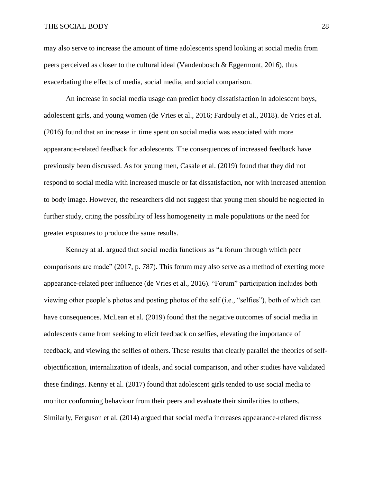#### THE SOCIAL BODY 28

may also serve to increase the amount of time adolescents spend looking at social media from peers perceived as closer to the cultural ideal (Vandenbosch & Eggermont, 2016), thus exacerbating the effects of media, social media, and social comparison.

An increase in social media usage can predict body dissatisfaction in adolescent boys, adolescent girls, and young women (de Vries et al., 2016; Fardouly et al., 2018). de Vries et al. (2016) found that an increase in time spent on social media was associated with more appearance-related feedback for adolescents. The consequences of increased feedback have previously been discussed. As for young men, Casale et al. (2019) found that they did not respond to social media with increased muscle or fat dissatisfaction, nor with increased attention to body image. However, the researchers did not suggest that young men should be neglected in further study, citing the possibility of less homogeneity in male populations or the need for greater exposures to produce the same results.

Kenney at al. argued that social media functions as "a forum through which peer comparisons are made" (2017, p. 787). This forum may also serve as a method of exerting more appearance-related peer influence (de Vries et al., 2016). "Forum" participation includes both viewing other people's photos and posting photos of the self (i.e., "selfies"), both of which can have consequences. McLean et al. (2019) found that the negative outcomes of social media in adolescents came from seeking to elicit feedback on selfies, elevating the importance of feedback, and viewing the selfies of others. These results that clearly parallel the theories of selfobjectification, internalization of ideals, and social comparison, and other studies have validated these findings. Kenny et al. (2017) found that adolescent girls tended to use social media to monitor conforming behaviour from their peers and evaluate their similarities to others. Similarly, Ferguson et al. (2014) argued that social media increases appearance-related distress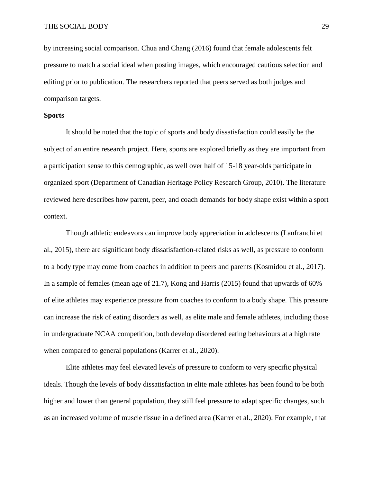by increasing social comparison. Chua and Chang (2016) found that female adolescents felt pressure to match a social ideal when posting images, which encouraged cautious selection and editing prior to publication. The researchers reported that peers served as both judges and comparison targets.

## <span id="page-34-0"></span>**Sports**

It should be noted that the topic of sports and body dissatisfaction could easily be the subject of an entire research project. Here, sports are explored briefly as they are important from a participation sense to this demographic, as well over half of 15-18 year-olds participate in organized sport (Department of Canadian Heritage Policy Research Group, 2010). The literature reviewed here describes how parent, peer, and coach demands for body shape exist within a sport context.

Though athletic endeavors can improve body appreciation in adolescents (Lanfranchi et al., 2015), there are significant body dissatisfaction-related risks as well, as pressure to conform to a body type may come from coaches in addition to peers and parents (Kosmidou et al., 2017). In a sample of females (mean age of 21.7), Kong and Harris (2015) found that upwards of 60% of elite athletes may experience pressure from coaches to conform to a body shape. This pressure can increase the risk of eating disorders as well, as elite male and female athletes, including those in undergraduate NCAA competition, both develop disordered eating behaviours at a high rate when compared to general populations (Karrer et al., 2020).

Elite athletes may feel elevated levels of pressure to conform to very specific physical ideals. Though the levels of body dissatisfaction in elite male athletes has been found to be both higher and lower than general population, they still feel pressure to adapt specific changes, such as an increased volume of muscle tissue in a defined area (Karrer et al., 2020). For example, that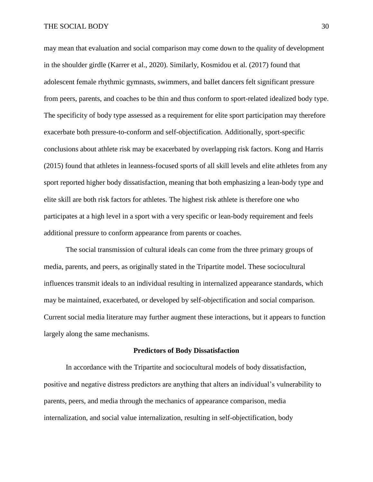may mean that evaluation and social comparison may come down to the quality of development in the shoulder girdle (Karrer et al., 2020). Similarly, Kosmidou et al. (2017) found that adolescent female rhythmic gymnasts, swimmers, and ballet dancers felt significant pressure from peers, parents, and coaches to be thin and thus conform to sport-related idealized body type. The specificity of body type assessed as a requirement for elite sport participation may therefore exacerbate both pressure-to-conform and self-objectification. Additionally, sport-specific conclusions about athlete risk may be exacerbated by overlapping risk factors. Kong and Harris (2015) found that athletes in leanness-focused sports of all skill levels and elite athletes from any sport reported higher body dissatisfaction, meaning that both emphasizing a lean-body type and elite skill are both risk factors for athletes. The highest risk athlete is therefore one who participates at a high level in a sport with a very specific or lean-body requirement and feels additional pressure to conform appearance from parents or coaches.

The social transmission of cultural ideals can come from the three primary groups of media, parents, and peers, as originally stated in the Tripartite model. These sociocultural influences transmit ideals to an individual resulting in internalized appearance standards, which may be maintained, exacerbated, or developed by self-objectification and social comparison. Current social media literature may further augment these interactions, but it appears to function largely along the same mechanisms.

#### **Predictors of Body Dissatisfaction**

<span id="page-35-0"></span>In accordance with the Tripartite and sociocultural models of body dissatisfaction, positive and negative distress predictors are anything that alters an individual's vulnerability to parents, peers, and media through the mechanics of appearance comparison, media internalization, and social value internalization, resulting in self-objectification, body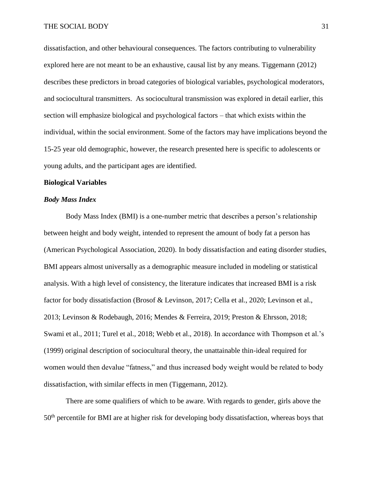dissatisfaction, and other behavioural consequences. The factors contributing to vulnerability explored here are not meant to be an exhaustive, causal list by any means. Tiggemann (2012) describes these predictors in broad categories of biological variables, psychological moderators, and sociocultural transmitters. As sociocultural transmission was explored in detail earlier, this section will emphasize biological and psychological factors – that which exists within the individual, within the social environment. Some of the factors may have implications beyond the 15-25 year old demographic, however, the research presented here is specific to adolescents or young adults, and the participant ages are identified.

## **Biological Variables**

## *Body Mass Index*

Body Mass Index (BMI) is a one-number metric that describes a person's relationship between height and body weight, intended to represent the amount of body fat a person has (American Psychological Association, 2020). In body dissatisfaction and eating disorder studies, BMI appears almost universally as a demographic measure included in modeling or statistical analysis. With a high level of consistency, the literature indicates that increased BMI is a risk factor for body dissatisfaction (Brosof & Levinson, 2017; Cella et al., 2020; Levinson et al., 2013; Levinson & Rodebaugh, 2016; Mendes & Ferreira, 2019; Preston & Ehrsson, 2018; Swami et al., 2011; Turel et al., 2018; Webb et al., 2018). In accordance with Thompson et al.'s (1999) original description of sociocultural theory, the unattainable thin-ideal required for women would then devalue "fatness," and thus increased body weight would be related to body dissatisfaction, with similar effects in men (Tiggemann, 2012).

There are some qualifiers of which to be aware. With regards to gender, girls above the 50th percentile for BMI are at higher risk for developing body dissatisfaction, whereas boys that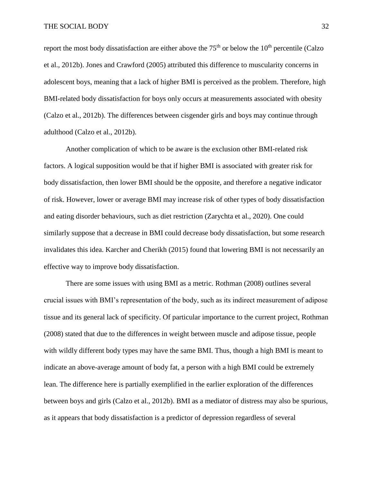report the most body dissatisfaction are either above the  $75<sup>th</sup>$  or below the  $10<sup>th</sup>$  percentile (Calzo et al., 2012b). Jones and Crawford (2005) attributed this difference to muscularity concerns in adolescent boys, meaning that a lack of higher BMI is perceived as the problem. Therefore, high BMI-related body dissatisfaction for boys only occurs at measurements associated with obesity (Calzo et al., 2012b). The differences between cisgender girls and boys may continue through adulthood (Calzo et al., 2012b).

Another complication of which to be aware is the exclusion other BMI-related risk factors. A logical supposition would be that if higher BMI is associated with greater risk for body dissatisfaction, then lower BMI should be the opposite, and therefore a negative indicator of risk. However, lower or average BMI may increase risk of other types of body dissatisfaction and eating disorder behaviours, such as diet restriction (Zarychta et al., 2020). One could similarly suppose that a decrease in BMI could decrease body dissatisfaction, but some research invalidates this idea. Karcher and Cherikh (2015) found that lowering BMI is not necessarily an effective way to improve body dissatisfaction.

There are some issues with using BMI as a metric. Rothman (2008) outlines several crucial issues with BMI's representation of the body, such as its indirect measurement of adipose tissue and its general lack of specificity. Of particular importance to the current project, Rothman (2008) stated that due to the differences in weight between muscle and adipose tissue, people with wildly different body types may have the same BMI. Thus, though a high BMI is meant to indicate an above-average amount of body fat, a person with a high BMI could be extremely lean. The difference here is partially exemplified in the earlier exploration of the differences between boys and girls (Calzo et al., 2012b). BMI as a mediator of distress may also be spurious, as it appears that body dissatisfaction is a predictor of depression regardless of several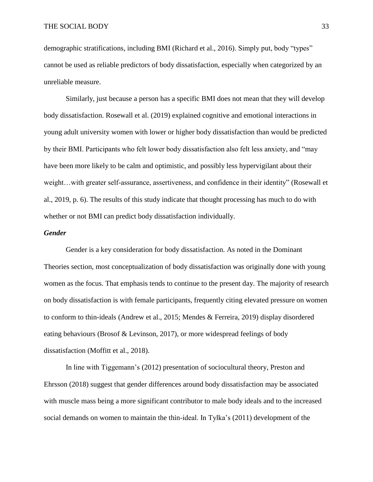demographic stratifications, including BMI (Richard et al., 2016). Simply put, body "types" cannot be used as reliable predictors of body dissatisfaction, especially when categorized by an unreliable measure.

Similarly, just because a person has a specific BMI does not mean that they will develop body dissatisfaction. Rosewall et al. (2019) explained cognitive and emotional interactions in young adult university women with lower or higher body dissatisfaction than would be predicted by their BMI. Participants who felt lower body dissatisfaction also felt less anxiety, and "may have been more likely to be calm and optimistic, and possibly less hypervigilant about their weight…with greater self-assurance, assertiveness, and confidence in their identity" (Rosewall et al., 2019, p. 6). The results of this study indicate that thought processing has much to do with whether or not BMI can predict body dissatisfaction individually.

## *Gender*

Gender is a key consideration for body dissatisfaction. As noted in the Dominant Theories section, most conceptualization of body dissatisfaction was originally done with young women as the focus. That emphasis tends to continue to the present day. The majority of research on body dissatisfaction is with female participants, frequently citing elevated pressure on women to conform to thin-ideals (Andrew et al., 2015; Mendes & Ferreira, 2019) display disordered eating behaviours (Brosof & Levinson, 2017), or more widespread feelings of body dissatisfaction (Moffitt et al., 2018).

In line with Tiggemann's (2012) presentation of sociocultural theory, Preston and Ehrsson (2018) suggest that gender differences around body dissatisfaction may be associated with muscle mass being a more significant contributor to male body ideals and to the increased social demands on women to maintain the thin-ideal. In Tylka's (2011) development of the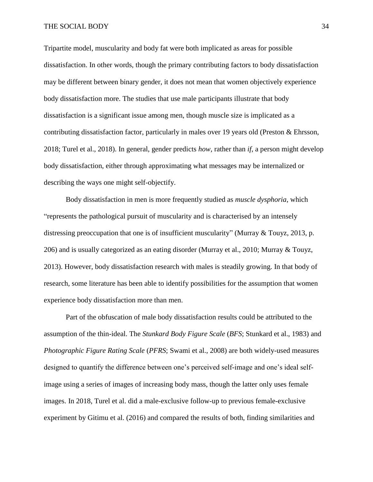Tripartite model, muscularity and body fat were both implicated as areas for possible dissatisfaction. In other words, though the primary contributing factors to body dissatisfaction may be different between binary gender, it does not mean that women objectively experience body dissatisfaction more. The studies that use male participants illustrate that body dissatisfaction is a significant issue among men, though muscle size is implicated as a contributing dissatisfaction factor, particularly in males over 19 years old (Preston & Ehrsson, 2018; Turel et al., 2018). In general, gender predicts *how*, rather than *if*, a person might develop body dissatisfaction, either through approximating what messages may be internalized or describing the ways one might self-objectify.

Body dissatisfaction in men is more frequently studied as *muscle dysphoria*, which "represents the pathological pursuit of muscularity and is characterised by an intensely distressing preoccupation that one is of insufficient muscularity" (Murray  $&$  Touyz, 2013, p. 206) and is usually categorized as an eating disorder (Murray et al., 2010; Murray & Touyz, 2013). However, body dissatisfaction research with males is steadily growing. In that body of research, some literature has been able to identify possibilities for the assumption that women experience body dissatisfaction more than men.

Part of the obfuscation of male body dissatisfaction results could be attributed to the assumption of the thin-ideal. The *Stunkard Body Figure Scale* (*BFS*; Stunkard et al., 1983) and *Photographic Figure Rating Scale* (*PFRS*; Swami et al., 2008) are both widely-used measures designed to quantify the difference between one's perceived self-image and one's ideal selfimage using a series of images of increasing body mass, though the latter only uses female images. In 2018, Turel et al. did a male-exclusive follow-up to previous female-exclusive experiment by Gitimu et al. (2016) and compared the results of both, finding similarities and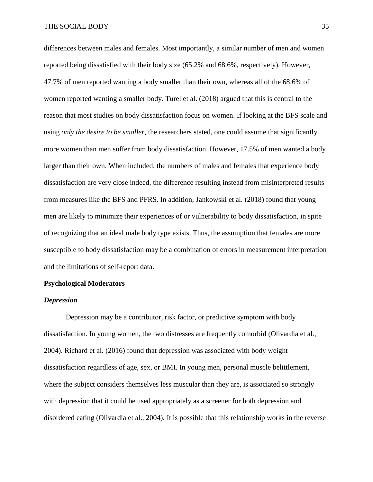differences between males and females. Most importantly, a similar number of men and women reported being dissatisfied with their body size (65.2% and 68.6%, respectively). However, 47.7% of men reported wanting a body smaller than their own, whereas all of the 68.6% of women reported wanting a smaller body. Turel et al. (2018) argued that this is central to the reason that most studies on body dissatisfaction focus on women. If looking at the BFS scale and using *only the desire to be smaller*, the researchers stated, one could assume that significantly more women than men suffer from body dissatisfaction. However, 17.5% of men wanted a body larger than their own. When included, the numbers of males and females that experience body dissatisfaction are very close indeed, the difference resulting instead from misinterpreted results from measures like the BFS and PFRS. In addition, Jankowski et al. (2018) found that young men are likely to minimize their experiences of or vulnerability to body dissatisfaction, in spite of recognizing that an ideal male body type exists. Thus, the assumption that females are more susceptible to body dissatisfaction may be a combination of errors in measurement interpretation and the limitations of self-report data.

### **Psychological Moderators**

## *Depression*

Depression may be a contributor, risk factor, or predictive symptom with body dissatisfaction. In young women, the two distresses are frequently comorbid (Olivardia et al., 2004). Richard et al. (2016) found that depression was associated with body weight dissatisfaction regardless of age, sex, or BMI. In young men, personal muscle belittlement, where the subject considers themselves less muscular than they are, is associated so strongly with depression that it could be used appropriately as a screener for both depression and disordered eating (Olivardia et al., 2004). It is possible that this relationship works in the reverse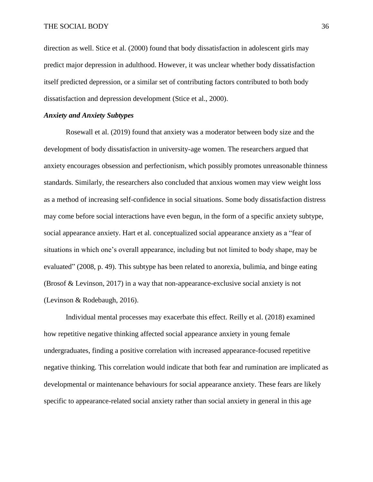direction as well. Stice et al. (2000) found that body dissatisfaction in adolescent girls may predict major depression in adulthood. However, it was unclear whether body dissatisfaction itself predicted depression, or a similar set of contributing factors contributed to both body dissatisfaction and depression development (Stice et al., 2000).

### *Anxiety and Anxiety Subtypes*

Rosewall et al. (2019) found that anxiety was a moderator between body size and the development of body dissatisfaction in university-age women. The researchers argued that anxiety encourages obsession and perfectionism, which possibly promotes unreasonable thinness standards. Similarly, the researchers also concluded that anxious women may view weight loss as a method of increasing self-confidence in social situations. Some body dissatisfaction distress may come before social interactions have even begun, in the form of a specific anxiety subtype, social appearance anxiety. Hart et al. conceptualized social appearance anxiety as a "fear of situations in which one's overall appearance, including but not limited to body shape, may be evaluated" (2008, p. 49). This subtype has been related to anorexia, bulimia, and binge eating (Brosof & Levinson, 2017) in a way that non-appearance-exclusive social anxiety is not (Levinson & Rodebaugh, 2016).

Individual mental processes may exacerbate this effect. Reilly et al. (2018) examined how repetitive negative thinking affected social appearance anxiety in young female undergraduates, finding a positive correlation with increased appearance-focused repetitive negative thinking. This correlation would indicate that both fear and rumination are implicated as developmental or maintenance behaviours for social appearance anxiety. These fears are likely specific to appearance-related social anxiety rather than social anxiety in general in this age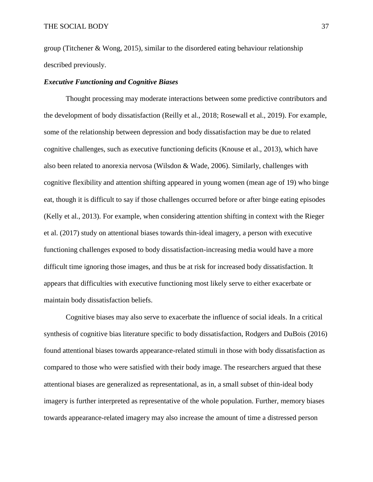group (Titchener & Wong, 2015), similar to the disordered eating behaviour relationship described previously.

## *Executive Functioning and Cognitive Biases*

Thought processing may moderate interactions between some predictive contributors and the development of body dissatisfaction (Reilly et al., 2018; Rosewall et al., 2019). For example, some of the relationship between depression and body dissatisfaction may be due to related cognitive challenges, such as executive functioning deficits (Knouse et al., 2013), which have also been related to anorexia nervosa (Wilsdon & Wade, 2006). Similarly, challenges with cognitive flexibility and attention shifting appeared in young women (mean age of 19) who binge eat, though it is difficult to say if those challenges occurred before or after binge eating episodes (Kelly et al., 2013). For example, when considering attention shifting in context with the Rieger et al. (2017) study on attentional biases towards thin-ideal imagery, a person with executive functioning challenges exposed to body dissatisfaction-increasing media would have a more difficult time ignoring those images, and thus be at risk for increased body dissatisfaction. It appears that difficulties with executive functioning most likely serve to either exacerbate or maintain body dissatisfaction beliefs.

Cognitive biases may also serve to exacerbate the influence of social ideals. In a critical synthesis of cognitive bias literature specific to body dissatisfaction, Rodgers and DuBois (2016) found attentional biases towards appearance-related stimuli in those with body dissatisfaction as compared to those who were satisfied with their body image. The researchers argued that these attentional biases are generalized as representational, as in, a small subset of thin-ideal body imagery is further interpreted as representative of the whole population. Further, memory biases towards appearance-related imagery may also increase the amount of time a distressed person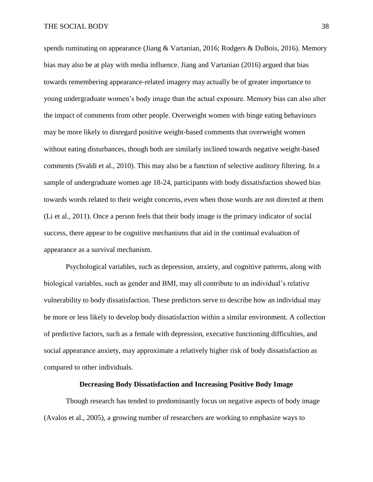spends ruminating on appearance (Jiang & Vartanian, 2016; Rodgers & DuBois, 2016). Memory bias may also be at play with media influence. Jiang and Vartanian (2016) argued that bias towards remembering appearance-related imagery may actually be of greater importance to young undergraduate women's body image than the actual exposure. Memory bias can also alter the impact of comments from other people. Overweight women with binge eating behaviours may be more likely to disregard positive weight-based comments that overweight women without eating disturbances, though both are similarly inclined towards negative weight-based comments (Svaldi et al., 2010). This may also be a function of selective auditory filtering. In a sample of undergraduate women age 18-24, participants with body dissatisfaction showed bias towards words related to their weight concerns, even when those words are not directed at them (Li et al., 2011). Once a person feels that their body image is the primary indicator of social success, there appear to be cognitive mechanisms that aid in the continual evaluation of appearance as a survival mechanism.

Psychological variables, such as depression, anxiety, and cognitive patterns, along with biological variables, such as gender and BMI, may all contribute to an individual's relative vulnerability to body dissatisfaction. These predictors serve to describe how an individual may be more or less likely to develop body dissatisfaction within a similar environment. A collection of predictive factors, such as a female with depression, executive functioning difficulties, and social appearance anxiety, may approximate a relatively higher risk of body dissatisfaction as compared to other individuals.

### **Decreasing Body Dissatisfaction and Increasing Positive Body Image**

Though research has tended to predominantly focus on negative aspects of body image (Avalos et al., 2005), a growing number of researchers are working to emphasize ways to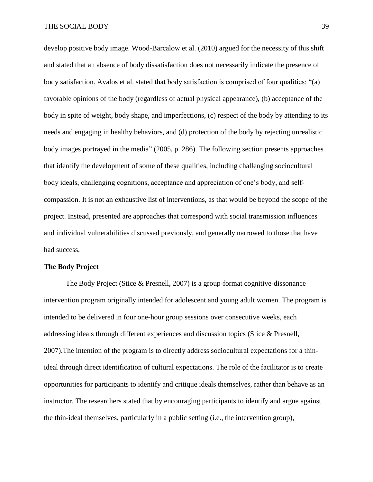develop positive body image. Wood-Barcalow et al. (2010) argued for the necessity of this shift and stated that an absence of body dissatisfaction does not necessarily indicate the presence of body satisfaction. Avalos et al. stated that body satisfaction is comprised of four qualities: "(a) favorable opinions of the body (regardless of actual physical appearance), (b) acceptance of the body in spite of weight, body shape, and imperfections, (c) respect of the body by attending to its needs and engaging in healthy behaviors, and (d) protection of the body by rejecting unrealistic body images portrayed in the media" (2005, p. 286). The following section presents approaches that identify the development of some of these qualities, including challenging sociocultural body ideals, challenging cognitions, acceptance and appreciation of one's body, and selfcompassion. It is not an exhaustive list of interventions, as that would be beyond the scope of the project. Instead, presented are approaches that correspond with social transmission influences and individual vulnerabilities discussed previously, and generally narrowed to those that have had success.

#### **The Body Project**

The Body Project (Stice & Presnell, 2007) is a group-format cognitive-dissonance intervention program originally intended for adolescent and young adult women. The program is intended to be delivered in four one-hour group sessions over consecutive weeks, each addressing ideals through different experiences and discussion topics (Stice & Presnell, 2007).The intention of the program is to directly address sociocultural expectations for a thinideal through direct identification of cultural expectations. The role of the facilitator is to create opportunities for participants to identify and critique ideals themselves, rather than behave as an instructor. The researchers stated that by encouraging participants to identify and argue against the thin-ideal themselves, particularly in a public setting (i.e., the intervention group),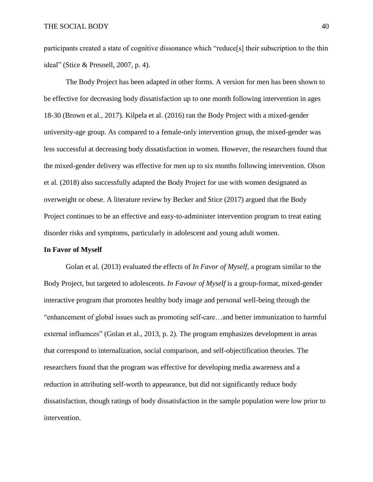participants created a state of cognitive dissonance which "reduce[s] their subscription to the thin ideal" (Stice & Presnell, 2007, p. 4).

The Body Project has been adapted in other forms. A version for men has been shown to be effective for decreasing body dissatisfaction up to one month following intervention in ages 18-30 (Brown et al., 2017). Kilpela et al. (2016) ran the Body Project with a mixed-gender university-age group. As compared to a female-only intervention group, the mixed-gender was less successful at decreasing body dissatisfaction in women. However, the researchers found that the mixed-gender delivery was effective for men up to six months following intervention. Olson et al. (2018) also successfully adapted the Body Project for use with women designated as overweight or obese. A literature review by Becker and Stice (2017) argued that the Body Project continues to be an effective and easy-to-administer intervention program to treat eating disorder risks and symptoms, particularly in adolescent and young adult women.

### **In Favor of Myself**

Golan et al. (2013) evaluated the effects of *In Favor of Myself*, a program similar to the Body Project, but targeted to adolescents. *In Favour of Myself* is a group-format, mixed-gender interactive program that promotes healthy body image and personal well-being through the "enhancement of global issues such as promoting self-care…and better immunization to harmful external influences" (Golan et al., 2013, p. 2). The program emphasizes development in areas that correspond to internalization, social comparison, and self-objectification theories. The researchers found that the program was effective for developing media awareness and a reduction in attributing self-worth to appearance, but did not significantly reduce body dissatisfaction, though ratings of body dissatisfaction in the sample population were low prior to intervention.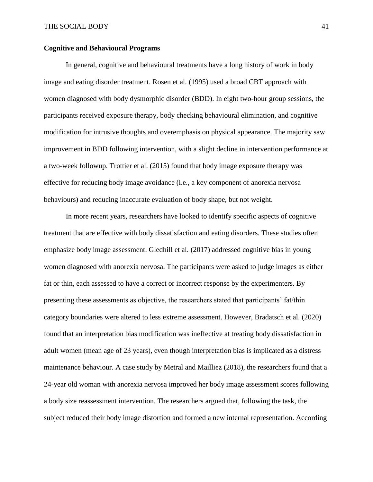## **Cognitive and Behavioural Programs**

In general, cognitive and behavioural treatments have a long history of work in body image and eating disorder treatment. Rosen et al. (1995) used a broad CBT approach with women diagnosed with body dysmorphic disorder (BDD). In eight two-hour group sessions, the participants received exposure therapy, body checking behavioural elimination, and cognitive modification for intrusive thoughts and overemphasis on physical appearance. The majority saw improvement in BDD following intervention, with a slight decline in intervention performance at a two-week followup. Trottier et al. (2015) found that body image exposure therapy was effective for reducing body image avoidance (i.e., a key component of anorexia nervosa behaviours) and reducing inaccurate evaluation of body shape, but not weight.

In more recent years, researchers have looked to identify specific aspects of cognitive treatment that are effective with body dissatisfaction and eating disorders. These studies often emphasize body image assessment. Gledhill et al. (2017) addressed cognitive bias in young women diagnosed with anorexia nervosa. The participants were asked to judge images as either fat or thin, each assessed to have a correct or incorrect response by the experimenters. By presenting these assessments as objective, the researchers stated that participants' fat/thin category boundaries were altered to less extreme assessment. However, Bradatsch et al. (2020) found that an interpretation bias modification was ineffective at treating body dissatisfaction in adult women (mean age of 23 years), even though interpretation bias is implicated as a distress maintenance behaviour. A case study by Metral and Mailliez (2018), the researchers found that a 24-year old woman with anorexia nervosa improved her body image assessment scores following a body size reassessment intervention. The researchers argued that, following the task, the subject reduced their body image distortion and formed a new internal representation. According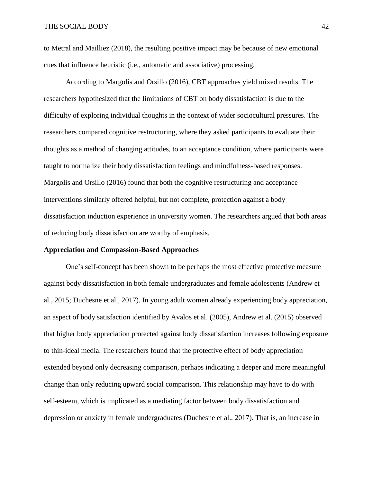to Metral and Mailliez (2018), the resulting positive impact may be because of new emotional cues that influence heuristic (i.e., automatic and associative) processing.

According to Margolis and Orsillo (2016), CBT approaches yield mixed results. The researchers hypothesized that the limitations of CBT on body dissatisfaction is due to the difficulty of exploring individual thoughts in the context of wider sociocultural pressures. The researchers compared cognitive restructuring, where they asked participants to evaluate their thoughts as a method of changing attitudes, to an acceptance condition, where participants were taught to normalize their body dissatisfaction feelings and mindfulness-based responses. Margolis and Orsillo (2016) found that both the cognitive restructuring and acceptance interventions similarly offered helpful, but not complete, protection against a body dissatisfaction induction experience in university women. The researchers argued that both areas of reducing body dissatisfaction are worthy of emphasis.

### **Appreciation and Compassion-Based Approaches**

One's self-concept has been shown to be perhaps the most effective protective measure against body dissatisfaction in both female undergraduates and female adolescents (Andrew et al., 2015; Duchesne et al., 2017). In young adult women already experiencing body appreciation, an aspect of body satisfaction identified by Avalos et al. (2005), Andrew et al. (2015) observed that higher body appreciation protected against body dissatisfaction increases following exposure to thin-ideal media. The researchers found that the protective effect of body appreciation extended beyond only decreasing comparison, perhaps indicating a deeper and more meaningful change than only reducing upward social comparison. This relationship may have to do with self-esteem, which is implicated as a mediating factor between body dissatisfaction and depression or anxiety in female undergraduates (Duchesne et al., 2017). That is, an increase in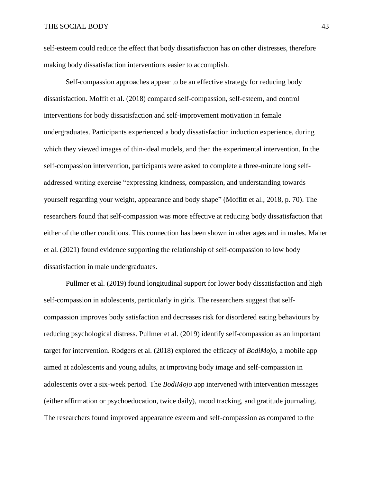self-esteem could reduce the effect that body dissatisfaction has on other distresses, therefore making body dissatisfaction interventions easier to accomplish.

Self-compassion approaches appear to be an effective strategy for reducing body dissatisfaction. Moffit et al. (2018) compared self-compassion, self-esteem, and control interventions for body dissatisfaction and self-improvement motivation in female undergraduates. Participants experienced a body dissatisfaction induction experience, during which they viewed images of thin-ideal models, and then the experimental intervention. In the self-compassion intervention, participants were asked to complete a three-minute long selfaddressed writing exercise "expressing kindness, compassion, and understanding towards yourself regarding your weight, appearance and body shape" (Moffitt et al., 2018, p. 70). The researchers found that self-compassion was more effective at reducing body dissatisfaction that either of the other conditions. This connection has been shown in other ages and in males. Maher et al. (2021) found evidence supporting the relationship of self-compassion to low body dissatisfaction in male undergraduates.

Pullmer et al. (2019) found longitudinal support for lower body dissatisfaction and high self-compassion in adolescents, particularly in girls. The researchers suggest that selfcompassion improves body satisfaction and decreases risk for disordered eating behaviours by reducing psychological distress. Pullmer et al. (2019) identify self-compassion as an important target for intervention. Rodgers et al. (2018) explored the efficacy of *BodiMojo*, a mobile app aimed at adolescents and young adults, at improving body image and self-compassion in adolescents over a six-week period. The *BodiMojo* app intervened with intervention messages (either affirmation or psychoeducation, twice daily), mood tracking, and gratitude journaling. The researchers found improved appearance esteem and self-compassion as compared to the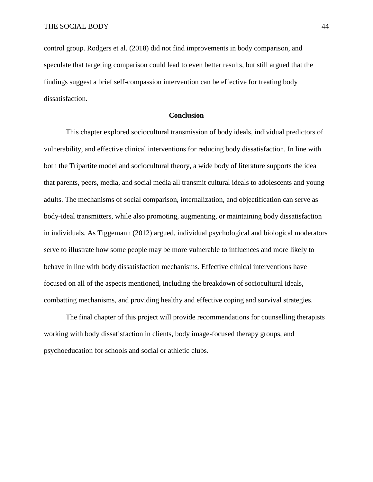control group. Rodgers et al. (2018) did not find improvements in body comparison, and speculate that targeting comparison could lead to even better results, but still argued that the findings suggest a brief self-compassion intervention can be effective for treating body dissatisfaction.

### **Conclusion**

This chapter explored sociocultural transmission of body ideals, individual predictors of vulnerability, and effective clinical interventions for reducing body dissatisfaction. In line with both the Tripartite model and sociocultural theory, a wide body of literature supports the idea that parents, peers, media, and social media all transmit cultural ideals to adolescents and young adults. The mechanisms of social comparison, internalization, and objectification can serve as body-ideal transmitters, while also promoting, augmenting, or maintaining body dissatisfaction in individuals. As Tiggemann (2012) argued, individual psychological and biological moderators serve to illustrate how some people may be more vulnerable to influences and more likely to behave in line with body dissatisfaction mechanisms. Effective clinical interventions have focused on all of the aspects mentioned, including the breakdown of sociocultural ideals, combatting mechanisms, and providing healthy and effective coping and survival strategies.

The final chapter of this project will provide recommendations for counselling therapists working with body dissatisfaction in clients, body image-focused therapy groups, and psychoeducation for schools and social or athletic clubs.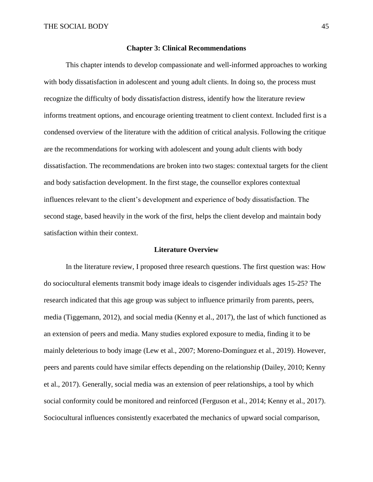## **Chapter 3: Clinical Recommendations**

This chapter intends to develop compassionate and well-informed approaches to working with body dissatisfaction in adolescent and young adult clients. In doing so, the process must recognize the difficulty of body dissatisfaction distress, identify how the literature review informs treatment options, and encourage orienting treatment to client context. Included first is a condensed overview of the literature with the addition of critical analysis. Following the critique are the recommendations for working with adolescent and young adult clients with body dissatisfaction. The recommendations are broken into two stages: contextual targets for the client and body satisfaction development. In the first stage, the counsellor explores contextual influences relevant to the client's development and experience of body dissatisfaction. The second stage, based heavily in the work of the first, helps the client develop and maintain body satisfaction within their context.

#### **Literature Overview**

In the literature review, I proposed three research questions. The first question was: How do sociocultural elements transmit body image ideals to cisgender individuals ages 15-25? The research indicated that this age group was subject to influence primarily from parents, peers, media (Tiggemann, 2012), and social media (Kenny et al., 2017), the last of which functioned as an extension of peers and media. Many studies explored exposure to media, finding it to be mainly deleterious to body image (Lew et al., 2007; Moreno-Domínguez et al., 2019). However, peers and parents could have similar effects depending on the relationship (Dailey, 2010; Kenny et al., 2017). Generally, social media was an extension of peer relationships, a tool by which social conformity could be monitored and reinforced (Ferguson et al., 2014; Kenny et al., 2017). Sociocultural influences consistently exacerbated the mechanics of upward social comparison,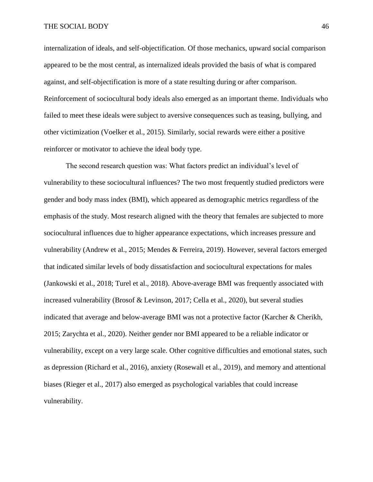internalization of ideals, and self-objectification. Of those mechanics, upward social comparison appeared to be the most central, as internalized ideals provided the basis of what is compared against, and self-objectification is more of a state resulting during or after comparison. Reinforcement of sociocultural body ideals also emerged as an important theme. Individuals who failed to meet these ideals were subject to aversive consequences such as teasing, bullying, and other victimization (Voelker et al., 2015). Similarly, social rewards were either a positive reinforcer or motivator to achieve the ideal body type.

The second research question was: What factors predict an individual's level of vulnerability to these sociocultural influences? The two most frequently studied predictors were gender and body mass index (BMI), which appeared as demographic metrics regardless of the emphasis of the study. Most research aligned with the theory that females are subjected to more sociocultural influences due to higher appearance expectations, which increases pressure and vulnerability (Andrew et al., 2015; Mendes & Ferreira, 2019). However, several factors emerged that indicated similar levels of body dissatisfaction and sociocultural expectations for males (Jankowski et al., 2018; Turel et al., 2018). Above-average BMI was frequently associated with increased vulnerability (Brosof & Levinson, 2017; Cella et al., 2020), but several studies indicated that average and below-average BMI was not a protective factor (Karcher & Cherikh, 2015; Zarychta et al., 2020). Neither gender nor BMI appeared to be a reliable indicator or vulnerability, except on a very large scale. Other cognitive difficulties and emotional states, such as depression (Richard et al., 2016), anxiety (Rosewall et al., 2019), and memory and attentional biases (Rieger et al., 2017) also emerged as psychological variables that could increase vulnerability.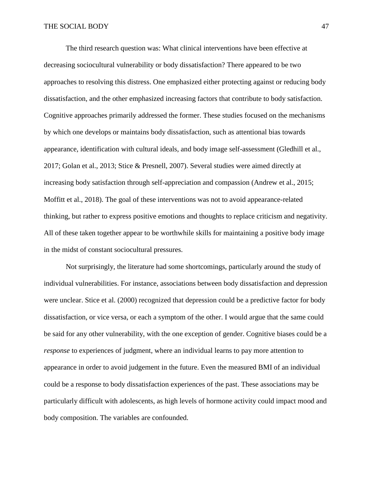The third research question was: What clinical interventions have been effective at decreasing sociocultural vulnerability or body dissatisfaction? There appeared to be two approaches to resolving this distress. One emphasized either protecting against or reducing body dissatisfaction, and the other emphasized increasing factors that contribute to body satisfaction. Cognitive approaches primarily addressed the former. These studies focused on the mechanisms by which one develops or maintains body dissatisfaction, such as attentional bias towards appearance, identification with cultural ideals, and body image self-assessment (Gledhill et al., 2017; Golan et al., 2013; Stice & Presnell, 2007). Several studies were aimed directly at increasing body satisfaction through self-appreciation and compassion (Andrew et al., 2015; Moffitt et al., 2018). The goal of these interventions was not to avoid appearance-related thinking, but rather to express positive emotions and thoughts to replace criticism and negativity. All of these taken together appear to be worthwhile skills for maintaining a positive body image in the midst of constant sociocultural pressures.

Not surprisingly, the literature had some shortcomings, particularly around the study of individual vulnerabilities. For instance, associations between body dissatisfaction and depression were unclear. Stice et al. (2000) recognized that depression could be a predictive factor for body dissatisfaction, or vice versa, or each a symptom of the other. I would argue that the same could be said for any other vulnerability, with the one exception of gender. Cognitive biases could be a *response* to experiences of judgment, where an individual learns to pay more attention to appearance in order to avoid judgement in the future. Even the measured BMI of an individual could be a response to body dissatisfaction experiences of the past. These associations may be particularly difficult with adolescents, as high levels of hormone activity could impact mood and body composition. The variables are confounded.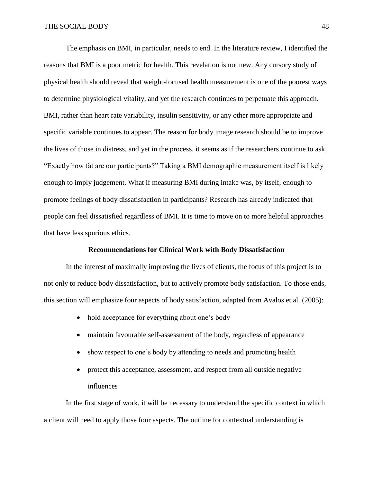The emphasis on BMI, in particular, needs to end. In the literature review, I identified the reasons that BMI is a poor metric for health. This revelation is not new. Any cursory study of physical health should reveal that weight-focused health measurement is one of the poorest ways to determine physiological vitality, and yet the research continues to perpetuate this approach. BMI, rather than heart rate variability, insulin sensitivity, or any other more appropriate and specific variable continues to appear. The reason for body image research should be to improve the lives of those in distress, and yet in the process, it seems as if the researchers continue to ask, "Exactly how fat are our participants?" Taking a BMI demographic measurement itself is likely enough to imply judgement. What if measuring BMI during intake was, by itself, enough to promote feelings of body dissatisfaction in participants? Research has already indicated that people can feel dissatisfied regardless of BMI. It is time to move on to more helpful approaches that have less spurious ethics.

## **Recommendations for Clinical Work with Body Dissatisfaction**

In the interest of maximally improving the lives of clients, the focus of this project is to not only to reduce body dissatisfaction, but to actively promote body satisfaction. To those ends, this section will emphasize four aspects of body satisfaction, adapted from Avalos et al. (2005):

- hold acceptance for everything about one's body
- maintain favourable self-assessment of the body, regardless of appearance
- show respect to one's body by attending to needs and promoting health
- protect this acceptance, assessment, and respect from all outside negative influences

In the first stage of work, it will be necessary to understand the specific context in which a client will need to apply those four aspects. The outline for contextual understanding is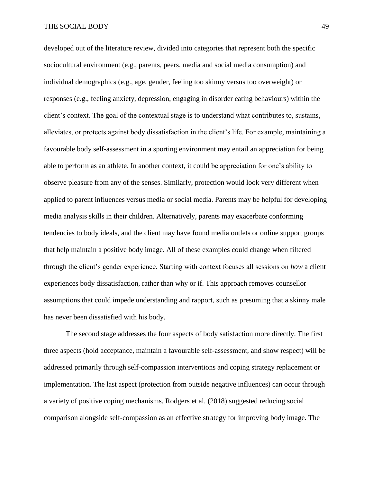developed out of the literature review, divided into categories that represent both the specific sociocultural environment (e.g., parents, peers, media and social media consumption) and individual demographics (e.g., age, gender, feeling too skinny versus too overweight) or responses (e.g., feeling anxiety, depression, engaging in disorder eating behaviours) within the client's context. The goal of the contextual stage is to understand what contributes to, sustains, alleviates, or protects against body dissatisfaction in the client's life. For example, maintaining a favourable body self-assessment in a sporting environment may entail an appreciation for being able to perform as an athlete. In another context, it could be appreciation for one's ability to observe pleasure from any of the senses. Similarly, protection would look very different when applied to parent influences versus media or social media. Parents may be helpful for developing media analysis skills in their children. Alternatively, parents may exacerbate conforming tendencies to body ideals, and the client may have found media outlets or online support groups that help maintain a positive body image. All of these examples could change when filtered through the client's gender experience. Starting with context focuses all sessions on *how* a client experiences body dissatisfaction, rather than why or if. This approach removes counsellor assumptions that could impede understanding and rapport, such as presuming that a skinny male has never been dissatisfied with his body.

The second stage addresses the four aspects of body satisfaction more directly. The first three aspects (hold acceptance, maintain a favourable self-assessment, and show respect) will be addressed primarily through self-compassion interventions and coping strategy replacement or implementation. The last aspect (protection from outside negative influences) can occur through a variety of positive coping mechanisms. Rodgers et al. (2018) suggested reducing social comparison alongside self-compassion as an effective strategy for improving body image. The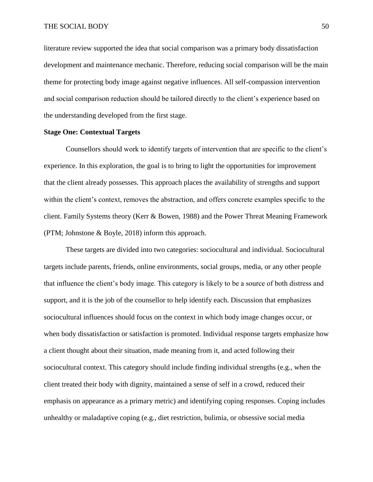literature review supported the idea that social comparison was a primary body dissatisfaction development and maintenance mechanic. Therefore, reducing social comparison will be the main theme for protecting body image against negative influences. All self-compassion intervention and social comparison reduction should be tailored directly to the client's experience based on the understanding developed from the first stage.

## **Stage One: Contextual Targets**

Counsellors should work to identify targets of intervention that are specific to the client's experience. In this exploration, the goal is to bring to light the opportunities for improvement that the client already possesses. This approach places the availability of strengths and support within the client's context, removes the abstraction, and offers concrete examples specific to the client. Family Systems theory (Kerr & Bowen, 1988) and the Power Threat Meaning Framework (PTM; Johnstone & Boyle, 2018) inform this approach.

These targets are divided into two categories: sociocultural and individual. Sociocultural targets include parents, friends, online environments, social groups, media, or any other people that influence the client's body image. This category is likely to be a source of both distress and support, and it is the job of the counsellor to help identify each. Discussion that emphasizes sociocultural influences should focus on the context in which body image changes occur, or when body dissatisfaction or satisfaction is promoted. Individual response targets emphasize how a client thought about their situation, made meaning from it, and acted following their sociocultural context. This category should include finding individual strengths (e.g., when the client treated their body with dignity, maintained a sense of self in a crowd, reduced their emphasis on appearance as a primary metric) and identifying coping responses. Coping includes unhealthy or maladaptive coping (e.g., diet restriction, bulimia, or obsessive social media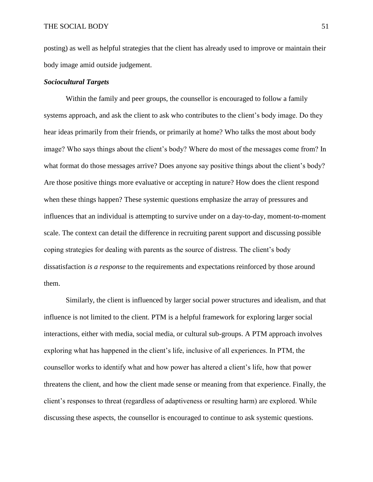posting) as well as helpful strategies that the client has already used to improve or maintain their body image amid outside judgement.

## *Sociocultural Targets*

Within the family and peer groups, the counsellor is encouraged to follow a family systems approach, and ask the client to ask who contributes to the client's body image. Do they hear ideas primarily from their friends, or primarily at home? Who talks the most about body image? Who says things about the client's body? Where do most of the messages come from? In what format do those messages arrive? Does anyone say positive things about the client's body? Are those positive things more evaluative or accepting in nature? How does the client respond when these things happen? These systemic questions emphasize the array of pressures and influences that an individual is attempting to survive under on a day-to-day, moment-to-moment scale. The context can detail the difference in recruiting parent support and discussing possible coping strategies for dealing with parents as the source of distress. The client's body dissatisfaction *is a response* to the requirements and expectations reinforced by those around them.

Similarly, the client is influenced by larger social power structures and idealism, and that influence is not limited to the client. PTM is a helpful framework for exploring larger social interactions, either with media, social media, or cultural sub-groups. A PTM approach involves exploring what has happened in the client's life, inclusive of all experiences. In PTM, the counsellor works to identify what and how power has altered a client's life, how that power threatens the client, and how the client made sense or meaning from that experience. Finally, the client's responses to threat (regardless of adaptiveness or resulting harm) are explored. While discussing these aspects, the counsellor is encouraged to continue to ask systemic questions.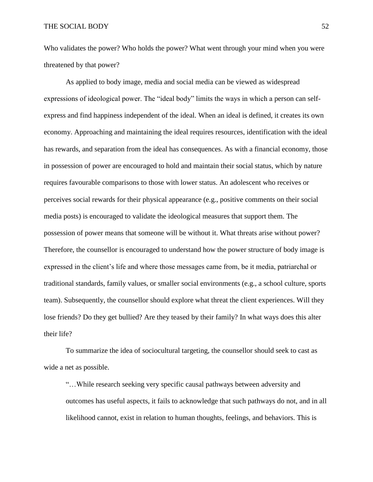Who validates the power? Who holds the power? What went through your mind when you were threatened by that power?

As applied to body image, media and social media can be viewed as widespread expressions of ideological power. The "ideal body" limits the ways in which a person can selfexpress and find happiness independent of the ideal. When an ideal is defined, it creates its own economy. Approaching and maintaining the ideal requires resources, identification with the ideal has rewards, and separation from the ideal has consequences. As with a financial economy, those in possession of power are encouraged to hold and maintain their social status, which by nature requires favourable comparisons to those with lower status. An adolescent who receives or perceives social rewards for their physical appearance (e.g., positive comments on their social media posts) is encouraged to validate the ideological measures that support them. The possession of power means that someone will be without it. What threats arise without power? Therefore, the counsellor is encouraged to understand how the power structure of body image is expressed in the client's life and where those messages came from, be it media, patriarchal or traditional standards, family values, or smaller social environments (e.g., a school culture, sports team). Subsequently, the counsellor should explore what threat the client experiences. Will they lose friends? Do they get bullied? Are they teased by their family? In what ways does this alter their life?

To summarize the idea of sociocultural targeting, the counsellor should seek to cast as wide a net as possible.

"…While research seeking very specific causal pathways between adversity and outcomes has useful aspects, it fails to acknowledge that such pathways do not, and in all likelihood cannot, exist in relation to human thoughts, feelings, and behaviors. This is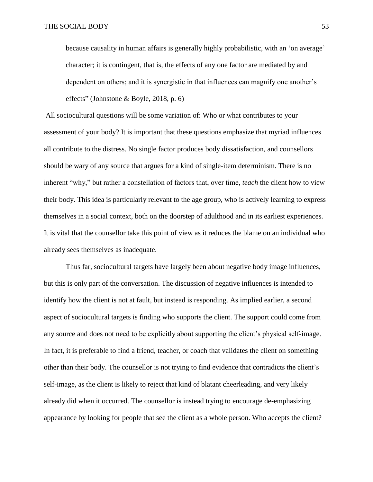because causality in human affairs is generally highly probabilistic, with an 'on average' character; it is contingent, that is, the effects of any one factor are mediated by and dependent on others; and it is synergistic in that influences can magnify one another's effects" (Johnstone & Boyle, 2018, p. 6)

All sociocultural questions will be some variation of: Who or what contributes to your assessment of your body? It is important that these questions emphasize that myriad influences all contribute to the distress. No single factor produces body dissatisfaction, and counsellors should be wary of any source that argues for a kind of single-item determinism. There is no inherent "why," but rather a constellation of factors that, over time, *teach* the client how to view their body. This idea is particularly relevant to the age group, who is actively learning to express themselves in a social context, both on the doorstep of adulthood and in its earliest experiences. It is vital that the counsellor take this point of view as it reduces the blame on an individual who already sees themselves as inadequate.

Thus far, sociocultural targets have largely been about negative body image influences, but this is only part of the conversation. The discussion of negative influences is intended to identify how the client is not at fault, but instead is responding. As implied earlier, a second aspect of sociocultural targets is finding who supports the client. The support could come from any source and does not need to be explicitly about supporting the client's physical self-image. In fact, it is preferable to find a friend, teacher, or coach that validates the client on something other than their body. The counsellor is not trying to find evidence that contradicts the client's self-image, as the client is likely to reject that kind of blatant cheerleading, and very likely already did when it occurred. The counsellor is instead trying to encourage de-emphasizing appearance by looking for people that see the client as a whole person. Who accepts the client?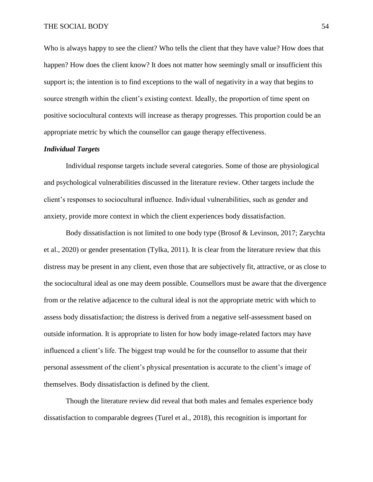Who is always happy to see the client? Who tells the client that they have value? How does that happen? How does the client know? It does not matter how seemingly small or insufficient this support is; the intention is to find exceptions to the wall of negativity in a way that begins to source strength within the client's existing context. Ideally, the proportion of time spent on positive sociocultural contexts will increase as therapy progresses. This proportion could be an appropriate metric by which the counsellor can gauge therapy effectiveness.

# *Individual Targets*

Individual response targets include several categories. Some of those are physiological and psychological vulnerabilities discussed in the literature review. Other targets include the client's responses to sociocultural influence. Individual vulnerabilities, such as gender and anxiety, provide more context in which the client experiences body dissatisfaction.

Body dissatisfaction is not limited to one body type (Brosof & Levinson, 2017; Zarychta et al., 2020) or gender presentation (Tylka, 2011). It is clear from the literature review that this distress may be present in any client, even those that are subjectively fit, attractive, or as close to the sociocultural ideal as one may deem possible. Counsellors must be aware that the divergence from or the relative adjacence to the cultural ideal is not the appropriate metric with which to assess body dissatisfaction; the distress is derived from a negative self-assessment based on outside information. It is appropriate to listen for how body image-related factors may have influenced a client's life. The biggest trap would be for the counsellor to assume that their personal assessment of the client's physical presentation is accurate to the client's image of themselves. Body dissatisfaction is defined by the client.

Though the literature review did reveal that both males and females experience body dissatisfaction to comparable degrees (Turel et al., 2018), this recognition is important for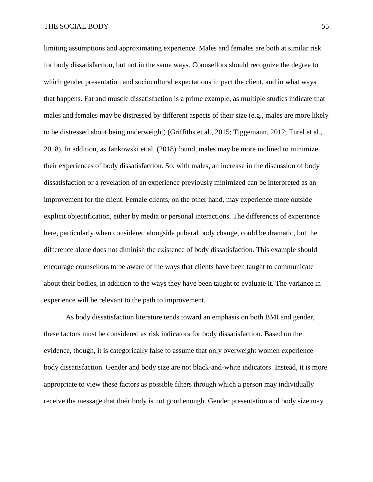limiting assumptions and approximating experience. Males and females are both at similar risk for body dissatisfaction, but not in the same ways. Counsellors should recognize the degree to which gender presentation and sociocultural expectations impact the client, and in what ways that happens. Fat and muscle dissatisfaction is a prime example, as multiple studies indicate that males and females may be distressed by different aspects of their size (e.g., males are more likely to be distressed about being underweight) (Griffiths et al., 2015; Tiggemann, 2012; Turel et al., 2018). In addition, as Jankowski et al. (2018) found, males may be more inclined to minimize their experiences of body dissatisfaction. So, with males, an increase in the discussion of body dissatisfaction or a revelation of an experience previously minimized can be interpreted as an improvement for the client. Female clients, on the other hand, may experience more outside explicit objectification, either by media or personal interactions. The differences of experience here, particularly when considered alongside puberal body change, could be dramatic, but the difference alone does not diminish the existence of body dissatisfaction. This example should encourage counsellors to be aware of the ways that clients have been taught to communicate about their bodies, in addition to the ways they have been taught to evaluate it. The variance in experience will be relevant to the path to improvement.

As body dissatisfaction literature tends toward an emphasis on both BMI and gender, these factors must be considered as risk indicators for body dissatisfaction. Based on the evidence, though, it is categorically false to assume that only overweight women experience body dissatisfaction. Gender and body size are not black-and-white indicators. Instead, it is more appropriate to view these factors as possible filters through which a person may individually receive the message that their body is not good enough. Gender presentation and body size may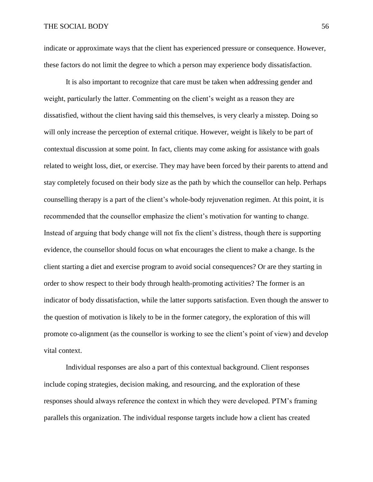indicate or approximate ways that the client has experienced pressure or consequence. However, these factors do not limit the degree to which a person may experience body dissatisfaction.

It is also important to recognize that care must be taken when addressing gender and weight, particularly the latter. Commenting on the client's weight as a reason they are dissatisfied, without the client having said this themselves, is very clearly a misstep. Doing so will only increase the perception of external critique. However, weight is likely to be part of contextual discussion at some point. In fact, clients may come asking for assistance with goals related to weight loss, diet, or exercise. They may have been forced by their parents to attend and stay completely focused on their body size as the path by which the counsellor can help. Perhaps counselling therapy is a part of the client's whole-body rejuvenation regimen. At this point, it is recommended that the counsellor emphasize the client's motivation for wanting to change. Instead of arguing that body change will not fix the client's distress, though there is supporting evidence, the counsellor should focus on what encourages the client to make a change. Is the client starting a diet and exercise program to avoid social consequences? Or are they starting in order to show respect to their body through health-promoting activities? The former is an indicator of body dissatisfaction, while the latter supports satisfaction. Even though the answer to the question of motivation is likely to be in the former category, the exploration of this will promote co-alignment (as the counsellor is working to see the client's point of view) and develop vital context.

Individual responses are also a part of this contextual background. Client responses include coping strategies, decision making, and resourcing, and the exploration of these responses should always reference the context in which they were developed. PTM's framing parallels this organization. The individual response targets include how a client has created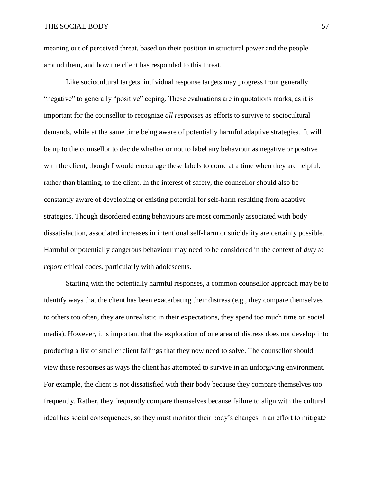meaning out of perceived threat, based on their position in structural power and the people around them, and how the client has responded to this threat.

Like sociocultural targets, individual response targets may progress from generally "negative" to generally "positive" coping. These evaluations are in quotations marks, as it is important for the counsellor to recognize *all responses* as efforts to survive to sociocultural demands, while at the same time being aware of potentially harmful adaptive strategies. It will be up to the counsellor to decide whether or not to label any behaviour as negative or positive with the client, though I would encourage these labels to come at a time when they are helpful, rather than blaming, to the client. In the interest of safety, the counsellor should also be constantly aware of developing or existing potential for self-harm resulting from adaptive strategies. Though disordered eating behaviours are most commonly associated with body dissatisfaction, associated increases in intentional self-harm or suicidality are certainly possible. Harmful or potentially dangerous behaviour may need to be considered in the context of *duty to report* ethical codes, particularly with adolescents.

Starting with the potentially harmful responses, a common counsellor approach may be to identify ways that the client has been exacerbating their distress (e.g., they compare themselves to others too often, they are unrealistic in their expectations, they spend too much time on social media). However, it is important that the exploration of one area of distress does not develop into producing a list of smaller client failings that they now need to solve. The counsellor should view these responses as ways the client has attempted to survive in an unforgiving environment. For example, the client is not dissatisfied with their body because they compare themselves too frequently. Rather, they frequently compare themselves because failure to align with the cultural ideal has social consequences, so they must monitor their body's changes in an effort to mitigate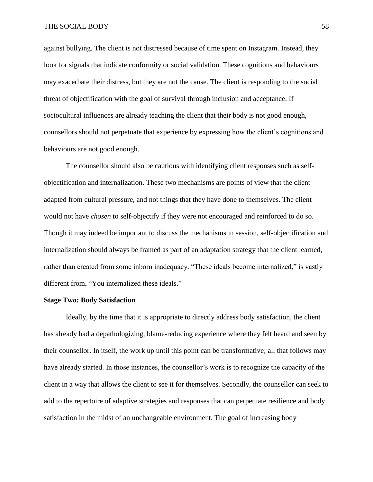against bullying. The client is not distressed because of time spent on Instagram. Instead, they look for signals that indicate conformity or social validation. These cognitions and behaviours may exacerbate their distress, but they are not the cause. The client is responding to the social threat of objectification with the goal of survival through inclusion and acceptance. If sociocultural influences are already teaching the client that their body is not good enough, counsellors should not perpetuate that experience by expressing how the client's cognitions and behaviours are not good enough.

The counsellor should also be cautious with identifying client responses such as selfobjectification and internalization. These two mechanisms are points of view that the client adapted from cultural pressure, and not things that they have done to themselves. The client would not have *chosen* to self-objectify if they were not encouraged and reinforced to do so. Though it may indeed be important to discuss the mechanisms in session, self-objectification and internalization should always be framed as part of an adaptation strategy that the client learned, rather than created from some inborn inadequacy. "These ideals become internalized," is vastly different from, "You internalized these ideals."

## **Stage Two: Body Satisfaction**

Ideally, by the time that it is appropriate to directly address body satisfaction, the client has already had a depathologizing, blame-reducing experience where they felt heard and seen by their counsellor. In itself, the work up until this point can be transformative; all that follows may have already started. In those instances, the counsellor's work is to recognize the capacity of the client in a way that allows the client to see it for themselves. Secondly, the counsellor can seek to add to the repertoire of adaptive strategies and responses that can perpetuate resilience and body satisfaction in the midst of an unchangeable environment. The goal of increasing body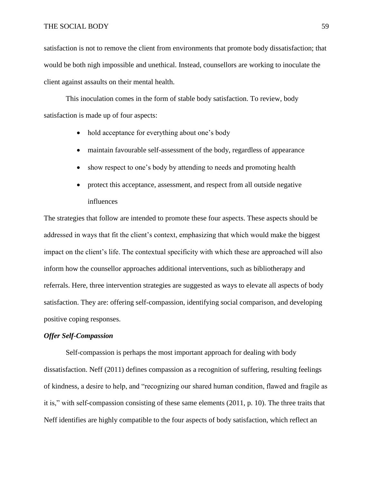satisfaction is not to remove the client from environments that promote body dissatisfaction; that would be both nigh impossible and unethical. Instead, counsellors are working to inoculate the client against assaults on their mental health.

This inoculation comes in the form of stable body satisfaction. To review, body satisfaction is made up of four aspects:

- hold acceptance for everything about one's body
- maintain favourable self-assessment of the body, regardless of appearance
- show respect to one's body by attending to needs and promoting health
- protect this acceptance, assessment, and respect from all outside negative influences

The strategies that follow are intended to promote these four aspects. These aspects should be addressed in ways that fit the client's context, emphasizing that which would make the biggest impact on the client's life. The contextual specificity with which these are approached will also inform how the counsellor approaches additional interventions, such as bibliotherapy and referrals. Here, three intervention strategies are suggested as ways to elevate all aspects of body satisfaction. They are: offering self-compassion, identifying social comparison, and developing positive coping responses.

## *Offer Self-Compassion*

Self-compassion is perhaps the most important approach for dealing with body dissatisfaction. Neff (2011) defines compassion as a recognition of suffering, resulting feelings of kindness, a desire to help, and "recognizing our shared human condition, flawed and fragile as it is," with self-compassion consisting of these same elements (2011, p. 10). The three traits that Neff identifies are highly compatible to the four aspects of body satisfaction, which reflect an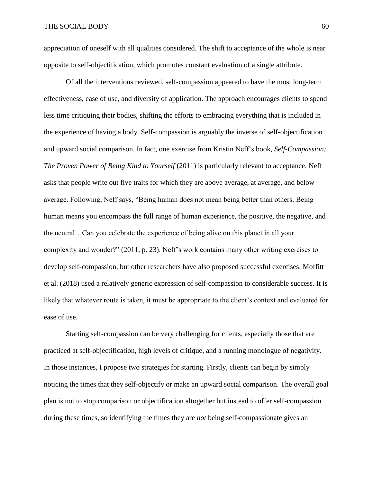appreciation of oneself with all qualities considered. The shift to acceptance of the whole is near opposite to self-objectification, which promotes constant evaluation of a single attribute.

Of all the interventions reviewed, self-compassion appeared to have the most long-term effectiveness, ease of use, and diversity of application. The approach encourages clients to spend less time critiquing their bodies, shifting the efforts to embracing everything that is included in the experience of having a body. Self-compassion is arguably the inverse of self-objectification and upward social comparison. In fact, one exercise from Kristin Neff's book, *Self-Compassion: The Proven Power of Being Kind to Yourself* (2011) is particularly relevant to acceptance. Neff asks that people write out five traits for which they are above average, at average, and below average. Following, Neff says, "Being human does not mean being better than others. Being human means you encompass the full range of human experience, the positive, the negative, and the neutral…Can you celebrate the experience of being alive on this planet in all your complexity and wonder?" (2011, p. 23). Neff's work contains many other writing exercises to develop self-compassion, but other researchers have also proposed successful exercises. Moffitt et al. (2018) used a relatively generic expression of self-compassion to considerable success. It is likely that whatever route is taken, it must be appropriate to the client's context and evaluated for ease of use.

Starting self-compassion can be very challenging for clients, especially those that are practiced at self-objectification, high levels of critique, and a running monologue of negativity. In those instances, I propose two strategies for starting. Firstly, clients can begin by simply noticing the times that they self-objectify or make an upward social comparison. The overall goal plan is not to stop comparison or objectification altogether but instead to offer self-compassion during these times, so identifying the times they are *not* being self-compassionate gives an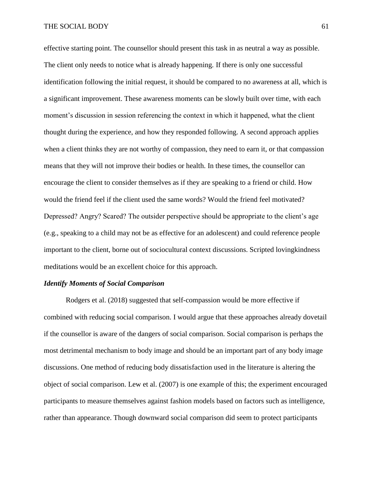effective starting point. The counsellor should present this task in as neutral a way as possible. The client only needs to notice what is already happening. If there is only one successful identification following the initial request, it should be compared to no awareness at all, which is a significant improvement. These awareness moments can be slowly built over time, with each moment's discussion in session referencing the context in which it happened, what the client thought during the experience, and how they responded following. A second approach applies when a client thinks they are not worthy of compassion, they need to earn it, or that compassion means that they will not improve their bodies or health. In these times, the counsellor can encourage the client to consider themselves as if they are speaking to a friend or child. How would the friend feel if the client used the same words? Would the friend feel motivated? Depressed? Angry? Scared? The outsider perspective should be appropriate to the client's age (e.g., speaking to a child may not be as effective for an adolescent) and could reference people important to the client, borne out of sociocultural context discussions. Scripted lovingkindness meditations would be an excellent choice for this approach.

#### *Identify Moments of Social Comparison*

Rodgers et al. (2018) suggested that self-compassion would be more effective if combined with reducing social comparison. I would argue that these approaches already dovetail if the counsellor is aware of the dangers of social comparison. Social comparison is perhaps the most detrimental mechanism to body image and should be an important part of any body image discussions. One method of reducing body dissatisfaction used in the literature is altering the object of social comparison. Lew et al. (2007) is one example of this; the experiment encouraged participants to measure themselves against fashion models based on factors such as intelligence, rather than appearance. Though downward social comparison did seem to protect participants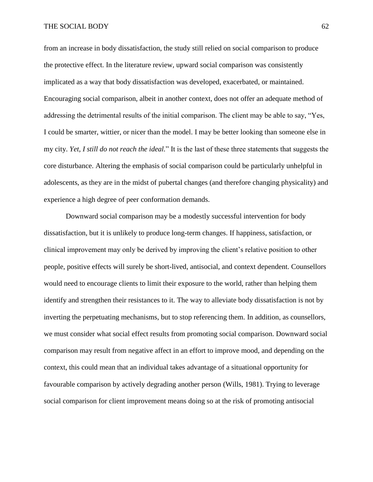from an increase in body dissatisfaction, the study still relied on social comparison to produce the protective effect. In the literature review, upward social comparison was consistently implicated as a way that body dissatisfaction was developed, exacerbated, or maintained. Encouraging social comparison, albeit in another context, does not offer an adequate method of addressing the detrimental results of the initial comparison. The client may be able to say, "Yes, I could be smarter, wittier, or nicer than the model. I may be better looking than someone else in my city. *Yet, I still do not reach the ideal.*" It is the last of these three statements that suggests the core disturbance. Altering the emphasis of social comparison could be particularly unhelpful in adolescents, as they are in the midst of pubertal changes (and therefore changing physicality) and experience a high degree of peer conformation demands.

Downward social comparison may be a modestly successful intervention for body dissatisfaction, but it is unlikely to produce long-term changes. If happiness, satisfaction, or clinical improvement may only be derived by improving the client's relative position to other people, positive effects will surely be short-lived, antisocial, and context dependent. Counsellors would need to encourage clients to limit their exposure to the world, rather than helping them identify and strengthen their resistances to it. The way to alleviate body dissatisfaction is not by inverting the perpetuating mechanisms, but to stop referencing them. In addition, as counsellors, we must consider what social effect results from promoting social comparison. Downward social comparison may result from negative affect in an effort to improve mood, and depending on the context, this could mean that an individual takes advantage of a situational opportunity for favourable comparison by actively degrading another person (Wills, 1981). Trying to leverage social comparison for client improvement means doing so at the risk of promoting antisocial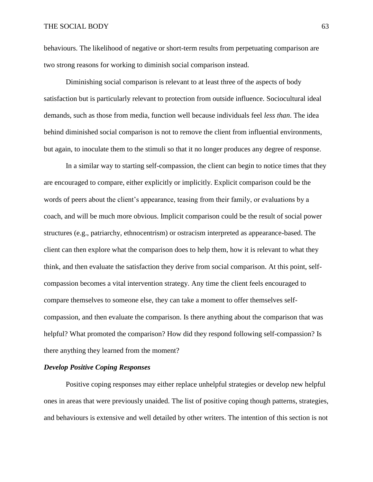behaviours. The likelihood of negative or short-term results from perpetuating comparison are two strong reasons for working to diminish social comparison instead.

Diminishing social comparison is relevant to at least three of the aspects of body satisfaction but is particularly relevant to protection from outside influence. Sociocultural ideal demands, such as those from media, function well because individuals feel *less than*. The idea behind diminished social comparison is not to remove the client from influential environments, but again, to inoculate them to the stimuli so that it no longer produces any degree of response.

In a similar way to starting self-compassion, the client can begin to notice times that they are encouraged to compare, either explicitly or implicitly. Explicit comparison could be the words of peers about the client's appearance, teasing from their family, or evaluations by a coach, and will be much more obvious. Implicit comparison could be the result of social power structures (e.g., patriarchy, ethnocentrism) or ostracism interpreted as appearance-based. The client can then explore what the comparison does to help them, how it is relevant to what they think, and then evaluate the satisfaction they derive from social comparison. At this point, selfcompassion becomes a vital intervention strategy. Any time the client feels encouraged to compare themselves to someone else, they can take a moment to offer themselves selfcompassion, and then evaluate the comparison. Is there anything about the comparison that was helpful? What promoted the comparison? How did they respond following self-compassion? Is there anything they learned from the moment?

# *Develop Positive Coping Responses*

Positive coping responses may either replace unhelpful strategies or develop new helpful ones in areas that were previously unaided. The list of positive coping though patterns, strategies, and behaviours is extensive and well detailed by other writers. The intention of this section is not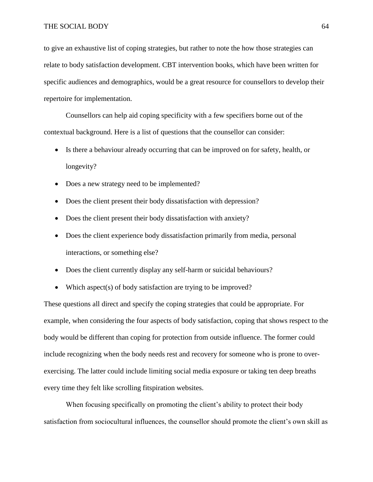to give an exhaustive list of coping strategies, but rather to note the how those strategies can relate to body satisfaction development. CBT intervention books, which have been written for specific audiences and demographics, would be a great resource for counsellors to develop their repertoire for implementation.

Counsellors can help aid coping specificity with a few specifiers borne out of the contextual background. Here is a list of questions that the counsellor can consider:

- Is there a behaviour already occurring that can be improved on for safety, health, or longevity?
- Does a new strategy need to be implemented?
- Does the client present their body dissatisfaction with depression?
- Does the client present their body dissatisfaction with anxiety?
- Does the client experience body dissatisfaction primarily from media, personal interactions, or something else?
- Does the client currently display any self-harm or suicidal behaviours?
- Which aspect(s) of body satisfaction are trying to be improved?

These questions all direct and specify the coping strategies that could be appropriate. For example, when considering the four aspects of body satisfaction, coping that shows respect to the body would be different than coping for protection from outside influence. The former could include recognizing when the body needs rest and recovery for someone who is prone to overexercising. The latter could include limiting social media exposure or taking ten deep breaths every time they felt like scrolling fitspiration websites.

When focusing specifically on promoting the client's ability to protect their body satisfaction from sociocultural influences, the counsellor should promote the client's own skill as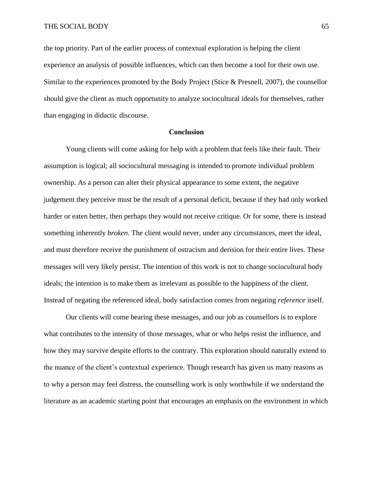the top priority. Part of the earlier process of contextual exploration is helping the client experience an analysis of possible influences, which can then become a tool for their own use. Similar to the experiences promoted by the Body Project (Stice & Presnell, 2007), the counsellor should give the client as much opportunity to analyze sociocultural ideals for themselves, rather than engaging in didactic discourse.

## **Conclusion**

Young clients will come asking for help with a problem that feels like their fault. Their assumption is logical; all sociocultural messaging is intended to promote individual problem ownership. As a person can alter their physical appearance to some extent, the negative judgement they perceive must be the result of a personal deficit, because if they had only worked harder or eaten better, then perhaps they would not receive critique. Or for some, there is instead something inherently *broken*. The client would never, under any circumstances, meet the ideal, and must therefore receive the punishment of ostracism and derision for their entire lives. These messages will very likely persist. The intention of this work is not to change sociocultural body ideals; the intention is to make them as irrelevant as possible to the happiness of the client. Instead of negating the referenced ideal, body satisfaction comes from negating *reference* itself.

Our clients will come bearing these messages, and our job as counsellors is to explore what contributes to the intensity of those messages, what or who helps resist the influence, and how they may survive despite efforts to the contrary. This exploration should naturally extend to the nuance of the client's contextual experience. Though research has given us many reasons as to why a person may feel distress, the counselling work is only worthwhile if we understand the literature as an academic starting point that encourages an emphasis on the environment in which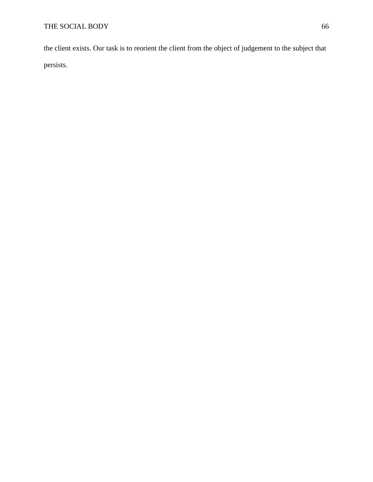the client exists. Our task is to reorient the client from the object of judgement to the subject that persists.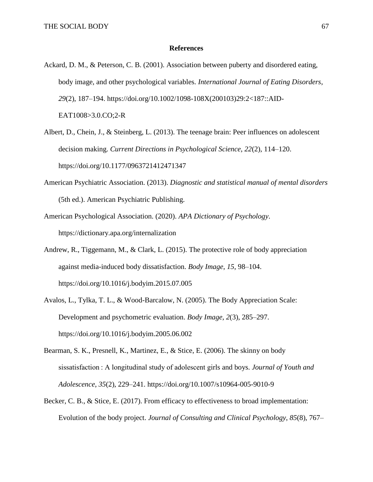## **References**

- Ackard, D. M., & Peterson, C. B. (2001). Association between puberty and disordered eating, body image, and other psychological variables. *International Journal of Eating Disorders*, *29*(2), 187–194. https://doi.org/10.1002/1098-108X(200103)29:2<187::AID-EAT1008>3.0.CO;2-R
- Albert, D., Chein, J., & Steinberg, L. (2013). The teenage brain: Peer influences on adolescent decision making. *Current Directions in Psychological Science*, *22*(2), 114–120. https://doi.org/10.1177/0963721412471347
- American Psychiatric Association. (2013). *Diagnostic and statistical manual of mental disorders* (5th ed.). American Psychiatric Publishing.
- American Psychological Association. (2020). *APA Dictionary of Psychology*. https://dictionary.apa.org/internalization
- Andrew, R., Tiggemann, M., & Clark, L. (2015). The protective role of body appreciation against media-induced body dissatisfaction. *Body Image*, *15*, 98–104. https://doi.org/10.1016/j.bodyim.2015.07.005
- Avalos, L., Tylka, T. L., & Wood-Barcalow, N. (2005). The Body Appreciation Scale: Development and psychometric evaluation. *Body Image*, *2*(3), 285–297. https://doi.org/10.1016/j.bodyim.2005.06.002
- Bearman, S. K., Presnell, K., Martinez, E., & Stice, E. (2006). The skinny on body sissatisfaction : A longitudinal study of adolescent girls and boys. *Journal of Youth and Adolescence*, *35*(2), 229–241. https://doi.org/10.1007/s10964-005-9010-9
- Becker, C. B., & Stice, E. (2017). From efficacy to effectiveness to broad implementation: Evolution of the body project. *Journal of Consulting and Clinical Psychology*, *85*(8), 767–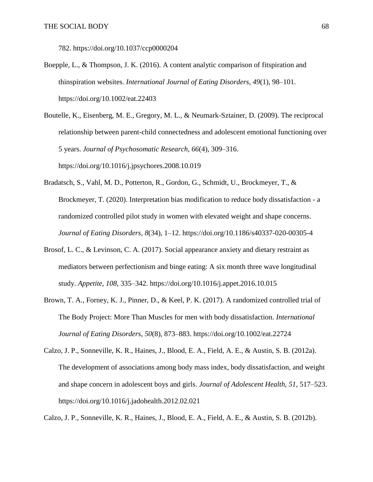782. https://doi.org/10.1037/ccp0000204

Boepple, L., & Thompson, J. K. (2016). A content analytic comparison of fitspiration and thinspiration websites. *International Journal of Eating Disorders*, *49*(1), 98–101. https://doi.org/10.1002/eat.22403

Boutelle, K., Eisenberg, M. E., Gregory, M. L., & Neumark-Sztainer, D. (2009). The reciprocal relationship between parent-child connectedness and adolescent emotional functioning over 5 years. *Journal of Psychosomatic Research*, *66*(4), 309–316. https://doi.org/10.1016/j.jpsychores.2008.10.019

- Bradatsch, S., Vahl, M. D., Potterton, R., Gordon, G., Schmidt, U., Brockmeyer, T., & Brockmeyer, T. (2020). Interpretation bias modification to reduce body dissatisfaction - a randomized controlled pilot study in women with elevated weight and shape concerns. *Journal of Eating Disorders*, *8*(34), 1–12. https://doi.org/10.1186/s40337-020-00305-4
- Brosof, L. C., & Levinson, C. A. (2017). Social appearance anxiety and dietary restraint as mediators between perfectionism and binge eating: A six month three wave longitudinal study. *Appetite*, *108*, 335–342. https://doi.org/10.1016/j.appet.2016.10.015
- Brown, T. A., Forney, K. J., Pinner, D., & Keel, P. K. (2017). A randomized controlled trial of The Body Project: More Than Muscles for men with body dissatisfaction. *International Journal of Eating Disorders*, *50*(8), 873–883. https://doi.org/10.1002/eat.22724
- Calzo, J. P., Sonneville, K. R., Haines, J., Blood, E. A., Field, A. E., & Austin, S. B. (2012a). The development of associations among body mass index, body dissatisfaction, and weight and shape concern in adolescent boys and girls. *Journal of Adolescent Health*, *51*, 517–523. https://doi.org/10.1016/j.jadohealth.2012.02.021

Calzo, J. P., Sonneville, K. R., Haines, J., Blood, E. A., Field, A. E., & Austin, S. B. (2012b).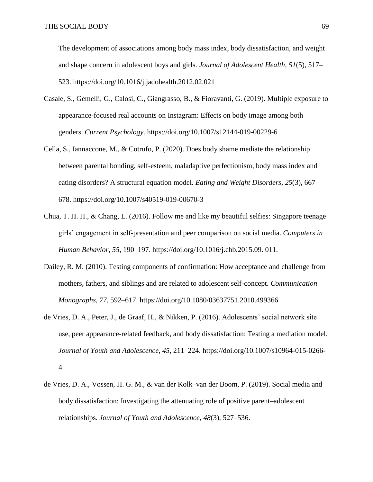The development of associations among body mass index, body dissatisfaction, and weight and shape concern in adolescent boys and girls. *Journal of Adolescent Health*, *51*(5), 517– 523. https://doi.org/10.1016/j.jadohealth.2012.02.021

- Casale, S., Gemelli, G., Calosi, C., Giangrasso, B., & Fioravanti, G. (2019). Multiple exposure to appearance-focused real accounts on Instagram: Effects on body image among both genders. *Current Psychology*. https://doi.org/10.1007/s12144-019-00229-6
- Cella, S., Iannaccone, M., & Cotrufo, P. (2020). Does body shame mediate the relationship between parental bonding, self-esteem, maladaptive perfectionism, body mass index and eating disorders? A structural equation model. *Eating and Weight Disorders*, *25*(3), 667– 678. https://doi.org/10.1007/s40519-019-00670-3
- Chua, T. H. H., & Chang, L. (2016). Follow me and like my beautiful selfies: Singapore teenage girls' engagement in self-presentation and peer comparison on social media. *Computers in Human Behavior*, *55*, 190–197. https://doi.org/10.1016/j.chb.2015.09. 011.
- Dailey, R. M. (2010). Testing components of confirmation: How acceptance and challenge from mothers, fathers, and siblings and are related to adolescent self-concept. *Communication Monographs*, *77*, 592–617. https://doi.org/10.1080/03637751.2010.499366
- de Vries, D. A., Peter, J., de Graaf, H., & Nikken, P. (2016). Adolescents' social network site use, peer appearance-related feedback, and body dissatisfaction: Testing a mediation model. *Journal of Youth and Adolescence*, *45*, 211–224. https://doi.org/10.1007/s10964-015-0266- 4
- de Vries, D. A., Vossen, H. G. M., & van der Kolk–van der Boom, P. (2019). Social media and body dissatisfaction: Investigating the attenuating role of positive parent–adolescent relationships. *Journal of Youth and Adolescence*, *48*(3), 527–536.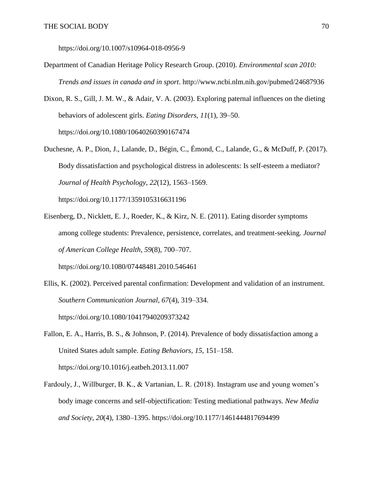https://doi.org/10.1007/s10964-018-0956-9

- Department of Canadian Heritage Policy Research Group. (2010). *Environmental scan 2010: Trends and issues in canada and in sport*. http://www.ncbi.nlm.nih.gov/pubmed/24687936
- Dixon, R. S., Gill, J. M. W., & Adair, V. A. (2003). Exploring paternal influences on the dieting behaviors of adolescent girls. *Eating Disorders*, *11*(1), 39–50. https://doi.org/10.1080/10640260390167474
- Duchesne, A. P., Dion, J., Lalande, D., Bégin, C., Émond, C., Lalande, G., & McDuff, P. (2017). Body dissatisfaction and psychological distress in adolescents: Is self-esteem a mediator? *Journal of Health Psychology*, *22*(12), 1563–1569.

https://doi.org/10.1177/1359105316631196

- Eisenberg, D., Nicklett, E. J., Roeder, K., & Kirz, N. E. (2011). Eating disorder symptoms among college students: Prevalence, persistence, correlates, and treatment-seeking. *Journal of American College Health*, *59*(8), 700–707. https://doi.org/10.1080/07448481.2010.546461
- Ellis, K. (2002). Perceived parental confirmation: Development and validation of an instrument. *Southern Communication Journal*, *67*(4), 319–334. https://doi.org/10.1080/10417940209373242
- Fallon, E. A., Harris, B. S., & Johnson, P. (2014). Prevalence of body dissatisfaction among a United States adult sample. *Eating Behaviors*, *15*, 151–158. https://doi.org/10.1016/j.eatbeh.2013.11.007
- Fardouly, J., Willburger, B. K., & Vartanian, L. R. (2018). Instagram use and young women's body image concerns and self-objectification: Testing mediational pathways. *New Media and Society*, *20*(4), 1380–1395. https://doi.org/10.1177/1461444817694499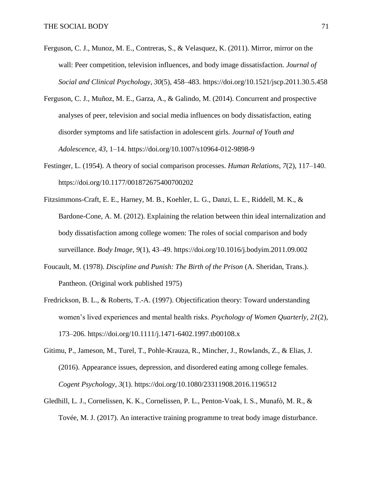- Ferguson, C. J., Munoz, M. E., Contreras, S., & Velasquez, K. (2011). Mirror, mirror on the wall: Peer competition, television influences, and body image dissatisfaction. *Journal of Social and Clinical Psychology*, *30*(5), 458–483. https://doi.org/10.1521/jscp.2011.30.5.458
- Ferguson, C. J., Muñoz, M. E., Garza, A., & Galindo, M. (2014). Concurrent and prospective analyses of peer, television and social media influences on body dissatisfaction, eating disorder symptoms and life satisfaction in adolescent girls. *Journal of Youth and Adolescence*, *43*, 1–14. https://doi.org/10.1007/s10964-012-9898-9
- Festinger, L. (1954). A theory of social comparison processes. *Human Relations*, *7*(2), 117–140. https://doi.org/10.1177/001872675400700202
- Fitzsimmons-Craft, E. E., Harney, M. B., Koehler, L. G., Danzi, L. E., Riddell, M. K., & Bardone-Cone, A. M. (2012). Explaining the relation between thin ideal internalization and body dissatisfaction among college women: The roles of social comparison and body surveillance. *Body Image*, *9*(1), 43–49. https://doi.org/10.1016/j.bodyim.2011.09.002
- Foucault, M. (1978). *Discipline and Punish: The Birth of the Prison* (A. Sheridan, Trans.). Pantheon. (Original work published 1975)
- Fredrickson, B. L., & Roberts, T.-A. (1997). Objectification theory: Toward understanding women's lived experiences and mental health risks. *Psychology of Women Quarterly*, *21*(2), 173–206. https://doi.org/10.1111/j.1471-6402.1997.tb00108.x
- Gitimu, P., Jameson, M., Turel, T., Pohle-Krauza, R., Mincher, J., Rowlands, Z., & Elias, J. (2016). Appearance issues, depression, and disordered eating among college females. *Cogent Psychology*, *3*(1). https://doi.org/10.1080/23311908.2016.1196512
- Gledhill, L. J., Cornelissen, K. K., Cornelissen, P. L., Penton-Voak, I. S., Munafò, M. R., & Tovée, M. J. (2017). An interactive training programme to treat body image disturbance.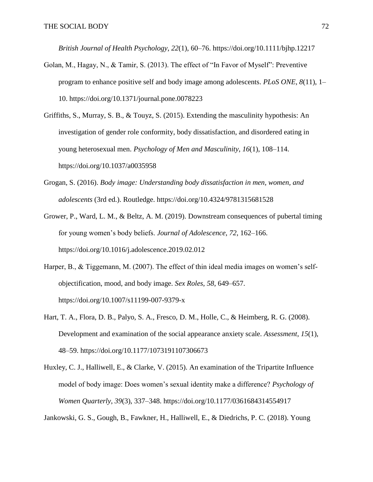*British Journal of Health Psychology*, *22*(1), 60–76. https://doi.org/10.1111/bjhp.12217

- Golan, M., Hagay, N., & Tamir, S. (2013). The effect of "In Favor of Myself": Preventive program to enhance positive self and body image among adolescents. *PLoS ONE*, *8*(11), 1– 10. https://doi.org/10.1371/journal.pone.0078223
- Griffiths, S., Murray, S. B., & Touyz, S. (2015). Extending the masculinity hypothesis: An investigation of gender role conformity, body dissatisfaction, and disordered eating in young heterosexual men. *Psychology of Men and Masculinity*, *16*(1), 108–114. https://doi.org/10.1037/a0035958
- Grogan, S. (2016). *Body image: Understanding body dissatisfaction in men, women, and adolescents* (3rd ed.). Routledge. https://doi.org/10.4324/9781315681528
- Grower, P., Ward, L. M., & Beltz, A. M. (2019). Downstream consequences of pubertal timing for young women's body beliefs. *Journal of Adolescence*, *72*, 162–166. https://doi.org/10.1016/j.adolescence.2019.02.012
- Harper, B., & Tiggemann, M. (2007). The effect of thin ideal media images on women's selfobjectification, mood, and body image. *Sex Roles*, *58*, 649–657. https://doi.org/10.1007/s11199-007-9379-x
- Hart, T. A., Flora, D. B., Palyo, S. A., Fresco, D. M., Holle, C., & Heimberg, R. G. (2008). Development and examination of the social appearance anxiety scale. *Assessment*, *15*(1), 48–59. https://doi.org/10.1177/1073191107306673
- Huxley, C. J., Halliwell, E., & Clarke, V. (2015). An examination of the Tripartite Influence model of body image: Does women's sexual identity make a difference? *Psychology of Women Quarterly*, *39*(3), 337–348. https://doi.org/10.1177/0361684314554917

Jankowski, G. S., Gough, B., Fawkner, H., Halliwell, E., & Diedrichs, P. C. (2018). Young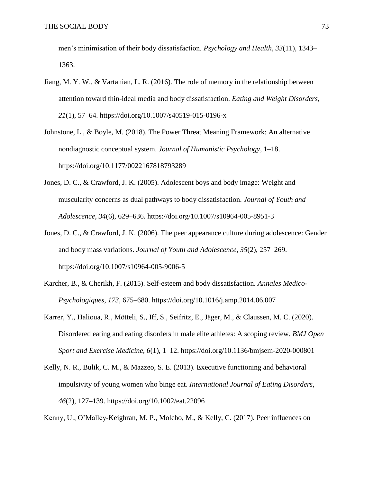men's minimisation of their body dissatisfaction. *Psychology and Health*, *33*(11), 1343– 1363.

- Jiang, M. Y. W., & Vartanian, L. R. (2016). The role of memory in the relationship between attention toward thin-ideal media and body dissatisfaction. *Eating and Weight Disorders*, *21*(1), 57–64. https://doi.org/10.1007/s40519-015-0196-x
- Johnstone, L., & Boyle, M. (2018). The Power Threat Meaning Framework: An alternative nondiagnostic conceptual system. *Journal of Humanistic Psychology*, 1–18. https://doi.org/10.1177/0022167818793289
- Jones, D. C., & Crawford, J. K. (2005). Adolescent boys and body image: Weight and muscularity concerns as dual pathways to body dissatisfaction. *Journal of Youth and Adolescence*, *34*(6), 629–636. https://doi.org/10.1007/s10964-005-8951-3
- Jones, D. C., & Crawford, J. K. (2006). The peer appearance culture during adolescence: Gender and body mass variations. *Journal of Youth and Adolescence*, *35*(2), 257–269. https://doi.org/10.1007/s10964-005-9006-5
- Karcher, B., & Cherikh, F. (2015). Self-esteem and body dissatisfaction. *Annales Medico-Psychologiques*, *173*, 675–680. https://doi.org/10.1016/j.amp.2014.06.007
- Karrer, Y., Halioua, R., Mötteli, S., Iff, S., Seifritz, E., Jäger, M., & Claussen, M. C. (2020). Disordered eating and eating disorders in male elite athletes: A scoping review. *BMJ Open Sport and Exercise Medicine*, *6*(1), 1–12. https://doi.org/10.1136/bmjsem-2020-000801
- Kelly, N. R., Bulik, C. M., & Mazzeo, S. E. (2013). Executive functioning and behavioral impulsivity of young women who binge eat. *International Journal of Eating Disorders*, *46*(2), 127–139. https://doi.org/10.1002/eat.22096

Kenny, U., O'Malley-Keighran, M. P., Molcho, M., & Kelly, C. (2017). Peer influences on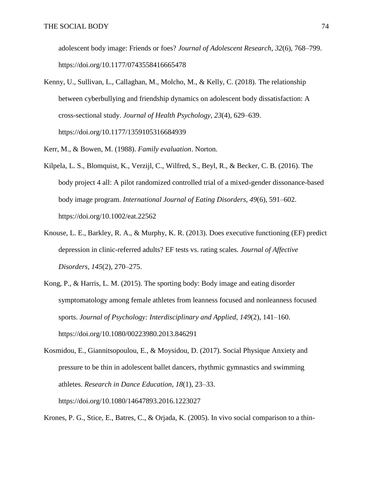adolescent body image: Friends or foes? *Journal of Adolescent Research*, *32*(6), 768–799. https://doi.org/10.1177/0743558416665478

- Kenny, U., Sullivan, L., Callaghan, M., Molcho, M., & Kelly, C. (2018). The relationship between cyberbullying and friendship dynamics on adolescent body dissatisfaction: A cross-sectional study. *Journal of Health Psychology*, *23*(4), 629–639. https://doi.org/10.1177/1359105316684939
- Kerr, M., & Bowen, M. (1988). *Family evaluation*. Norton.
- Kilpela, L. S., Blomquist, K., Verzijl, C., Wilfred, S., Beyl, R., & Becker, C. B. (2016). The body project 4 all: A pilot randomized controlled trial of a mixed-gender dissonance-based body image program. *International Journal of Eating Disorders*, *49*(6), 591–602. https://doi.org/10.1002/eat.22562
- Knouse, L. E., Barkley, R. A., & Murphy, K. R. (2013). Does executive functioning (EF) predict depression in clinic-referred adults? EF tests vs. rating scales. *Journal of Affective Disorders*, *145*(2), 270–275.
- Kong, P., & Harris, L. M. (2015). The sporting body: Body image and eating disorder symptomatology among female athletes from leanness focused and nonleanness focused sports. *Journal of Psychology: Interdisciplinary and Applied*, *149*(2), 141–160. https://doi.org/10.1080/00223980.2013.846291

Kosmidou, E., Giannitsopoulou, E., & Moysidou, D. (2017). Social Physique Anxiety and pressure to be thin in adolescent ballet dancers, rhythmic gymnastics and swimming athletes. *Research in Dance Education*, *18*(1), 23–33. https://doi.org/10.1080/14647893.2016.1223027

Krones, P. G., Stice, E., Batres, C., & Orjada, K. (2005). In vivo social comparison to a thin-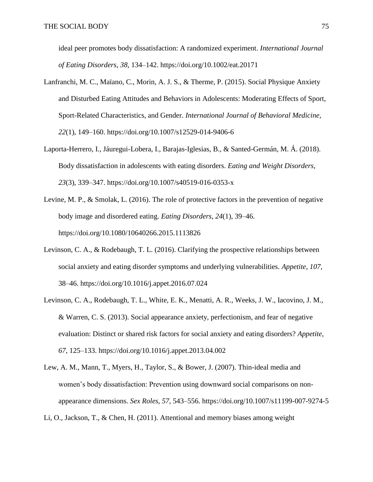ideal peer promotes body dissatisfaction: A randomized experiment. *International Journal of Eating Disorders*, *38*, 134–142. https://doi.org/10.1002/eat.20171

- Lanfranchi, M. C., Maïano, C., Morin, A. J. S., & Therme, P. (2015). Social Physique Anxiety and Disturbed Eating Attitudes and Behaviors in Adolescents: Moderating Effects of Sport, Sport-Related Characteristics, and Gender. *International Journal of Behavioral Medicine*, *22*(1), 149–160. https://doi.org/10.1007/s12529-014-9406-6
- Laporta-Herrero, I., Jáuregui-Lobera, I., Barajas-Iglesias, B., & Santed-Germán, M. Á. (2018). Body dissatisfaction in adolescents with eating disorders. *Eating and Weight Disorders*, *23*(3), 339–347. https://doi.org/10.1007/s40519-016-0353-x
- Levine, M. P., & Smolak, L. (2016). The role of protective factors in the prevention of negative body image and disordered eating. *Eating Disorders*, *24*(1), 39–46. https://doi.org/10.1080/10640266.2015.1113826
- Levinson, C. A., & Rodebaugh, T. L. (2016). Clarifying the prospective relationships between social anxiety and eating disorder symptoms and underlying vulnerabilities. *Appetite*, *107*, 38–46. https://doi.org/10.1016/j.appet.2016.07.024
- Levinson, C. A., Rodebaugh, T. L., White, E. K., Menatti, A. R., Weeks, J. W., Iacovino, J. M., & Warren, C. S. (2013). Social appearance anxiety, perfectionism, and fear of negative evaluation: Distinct or shared risk factors for social anxiety and eating disorders? *Appetite*, *67*, 125–133. https://doi.org/10.1016/j.appet.2013.04.002
- Lew, A. M., Mann, T., Myers, H., Taylor, S., & Bower, J. (2007). Thin-ideal media and women's body dissatisfaction: Prevention using downward social comparisons on nonappearance dimensions. *Sex Roles*, *57*, 543–556. https://doi.org/10.1007/s11199-007-9274-5
- Li, O., Jackson, T., & Chen, H. (2011). Attentional and memory biases among weight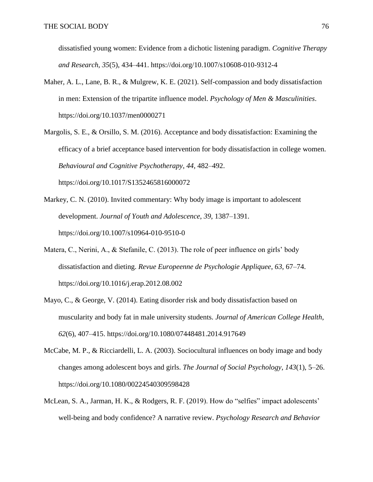dissatisfied young women: Evidence from a dichotic listening paradigm. *Cognitive Therapy and Research*, *35*(5), 434–441. https://doi.org/10.1007/s10608-010-9312-4

- Maher, A. L., Lane, B. R., & Mulgrew, K. E. (2021). Self-compassion and body dissatisfaction in men: Extension of the tripartite influence model. *Psychology of Men & Masculinities*. https://doi.org/10.1037/men0000271
- Margolis, S. E., & Orsillo, S. M. (2016). Acceptance and body dissatisfaction: Examining the efficacy of a brief acceptance based intervention for body dissatisfaction in college women. *Behavioural and Cognitive Psychotherapy*, *44*, 482–492. https://doi.org/10.1017/S1352465816000072
- Markey, C. N. (2010). Invited commentary: Why body image is important to adolescent development. *Journal of Youth and Adolescence*, *39*, 1387–1391. https://doi.org/10.1007/s10964-010-9510-0
- Matera, C., Nerini, A., & Stefanile, C. (2013). The role of peer influence on girls' body dissatisfaction and dieting. *Revue Europeenne de Psychologie Appliquee*, *63*, 67–74. https://doi.org/10.1016/j.erap.2012.08.002
- Mayo, C., & George, V. (2014). Eating disorder risk and body dissatisfaction based on muscularity and body fat in male university students. *Journal of American College Health*, *62*(6), 407–415. https://doi.org/10.1080/07448481.2014.917649
- McCabe, M. P., & Ricciardelli, L. A. (2003). Sociocultural influences on body image and body changes among adolescent boys and girls. *The Journal of Social Psychology*, *143*(1), 5–26. https://doi.org/10.1080/00224540309598428
- McLean, S. A., Jarman, H. K., & Rodgers, R. F. (2019). How do "selfies" impact adolescents' well-being and body confidence? A narrative review. *Psychology Research and Behavior*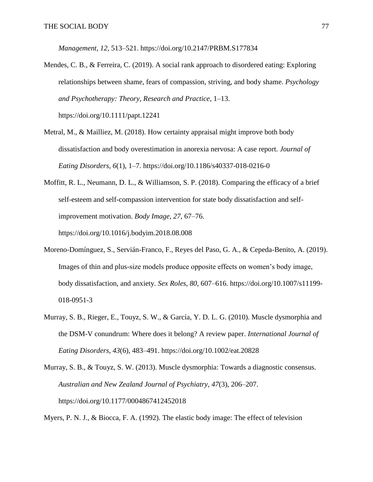*Management*, *12*, 513–521. https://doi.org/10.2147/PRBM.S177834

- Mendes, C. B., & Ferreira, C. (2019). A social rank approach to disordered eating: Exploring relationships between shame, fears of compassion, striving, and body shame. *Psychology and Psychotherapy: Theory, Research and Practice*, 1–13. https://doi.org/10.1111/papt.12241
- Metral, M., & Mailliez, M. (2018). How certainty appraisal might improve both body dissatisfaction and body overestimation in anorexia nervosa: A case report. *Journal of Eating Disorders*, *6*(1), 1–7. https://doi.org/10.1186/s40337-018-0216-0
- Moffitt, R. L., Neumann, D. L., & Williamson, S. P. (2018). Comparing the efficacy of a brief self-esteem and self-compassion intervention for state body dissatisfaction and selfimprovement motivation. *Body Image*, *27*, 67–76. https://doi.org/10.1016/j.bodyim.2018.08.008
- Moreno-Domínguez, S., Servián-Franco, F., Reyes del Paso, G. A., & Cepeda-Benito, A. (2019). Images of thin and plus-size models produce opposite effects on women's body image, body dissatisfaction, and anxiety. *Sex Roles*, *80*, 607–616. https://doi.org/10.1007/s11199- 018-0951-3
- Murray, S. B., Rieger, E., Touyz, S. W., & García, Y. D. L. G. (2010). Muscle dysmorphia and the DSM-V conundrum: Where does it belong? A review paper. *International Journal of Eating Disorders*, *43*(6), 483–491. https://doi.org/10.1002/eat.20828
- Murray, S. B., & Touyz, S. W. (2013). Muscle dysmorphia: Towards a diagnostic consensus. *Australian and New Zealand Journal of Psychiatry*, *47*(3), 206–207. https://doi.org/10.1177/0004867412452018

Myers, P. N. J., & Biocca, F. A. (1992). The elastic body image: The effect of television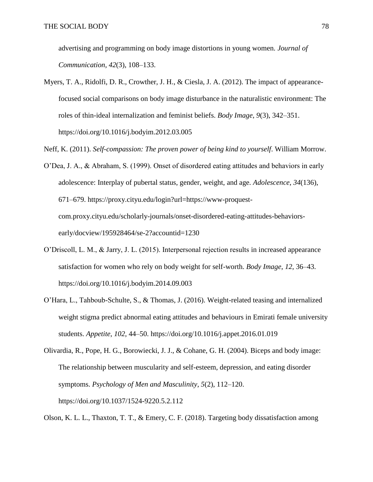advertising and programming on body image distortions in young women. *Journal of Communication*, *42*(3), 108–133.

- Myers, T. A., Ridolfi, D. R., Crowther, J. H., & Ciesla, J. A. (2012). The impact of appearancefocused social comparisons on body image disturbance in the naturalistic environment: The roles of thin-ideal internalization and feminist beliefs. *Body Image*, *9*(3), 342–351. https://doi.org/10.1016/j.bodyim.2012.03.005
- Neff, K. (2011). *Self-compassion: The proven power of being kind to yourself*. William Morrow.
- O'Dea, J. A., & Abraham, S. (1999). Onset of disordered eating attitudes and behaviors in early adolescence: Interplay of pubertal status, gender, weight, and age. *Adolescence*, *34*(136), 671–679. https://proxy.cityu.edu/login?url=https://www-proquestcom.proxy.cityu.edu/scholarly-journals/onset-disordered-eating-attitudes-behaviorsearly/docview/195928464/se-2?accountid=1230
- O'Driscoll, L. M., & Jarry, J. L. (2015). Interpersonal rejection results in increased appearance satisfaction for women who rely on body weight for self-worth. *Body Image*, *12*, 36–43. https://doi.org/10.1016/j.bodyim.2014.09.003
- O'Hara, L., Tahboub-Schulte, S., & Thomas, J. (2016). Weight-related teasing and internalized weight stigma predict abnormal eating attitudes and behaviours in Emirati female university students. *Appetite*, *102*, 44–50. https://doi.org/10.1016/j.appet.2016.01.019
- Olivardia, R., Pope, H. G., Borowiecki, J. J., & Cohane, G. H. (2004). Biceps and body image: The relationship between muscularity and self-esteem, depression, and eating disorder symptoms. *Psychology of Men and Masculinity*, *5*(2), 112–120. https://doi.org/10.1037/1524-9220.5.2.112

Olson, K. L. L., Thaxton, T. T., & Emery, C. F. (2018). Targeting body dissatisfaction among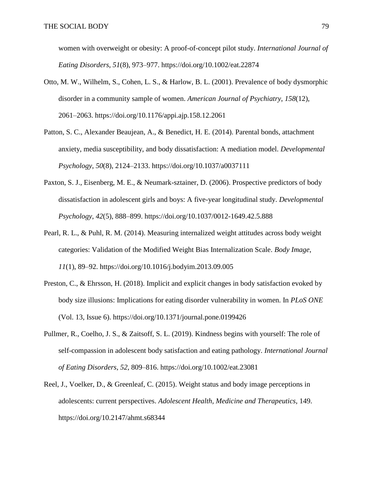women with overweight or obesity: A proof-of-concept pilot study. *International Journal of Eating Disorders*, *51*(8), 973–977. https://doi.org/10.1002/eat.22874

- Otto, M. W., Wilhelm, S., Cohen, L. S., & Harlow, B. L. (2001). Prevalence of body dysmorphic disorder in a community sample of women. *American Journal of Psychiatry*, *158*(12), 2061–2063. https://doi.org/10.1176/appi.ajp.158.12.2061
- Patton, S. C., Alexander Beaujean, A., & Benedict, H. E. (2014). Parental bonds, attachment anxiety, media susceptibility, and body dissatisfaction: A mediation model. *Developmental Psychology*, *50*(8), 2124–2133. https://doi.org/10.1037/a0037111
- Paxton, S. J., Eisenberg, M. E., & Neumark-sztainer, D. (2006). Prospective predictors of body dissatisfaction in adolescent girls and boys: A five-year longitudinal study. *Developmental Psychology*, *42*(5), 888–899. https://doi.org/10.1037/0012-1649.42.5.888
- Pearl, R. L., & Puhl, R. M. (2014). Measuring internalized weight attitudes across body weight categories: Validation of the Modified Weight Bias Internalization Scale. *Body Image*, *11*(1), 89–92. https://doi.org/10.1016/j.bodyim.2013.09.005
- Preston, C., & Ehrsson, H. (2018). Implicit and explicit changes in body satisfaction evoked by body size illusions: Implications for eating disorder vulnerability in women. In *PLoS ONE* (Vol. 13, Issue 6). https://doi.org/10.1371/journal.pone.0199426
- Pullmer, R., Coelho, J. S., & Zaitsoff, S. L. (2019). Kindness begins with yourself: The role of self-compassion in adolescent body satisfaction and eating pathology. *International Journal of Eating Disorders*, *52*, 809–816. https://doi.org/10.1002/eat.23081
- Reel, J., Voelker, D., & Greenleaf, C. (2015). Weight status and body image perceptions in adolescents: current perspectives. *Adolescent Health, Medicine and Therapeutics*, 149. https://doi.org/10.2147/ahmt.s68344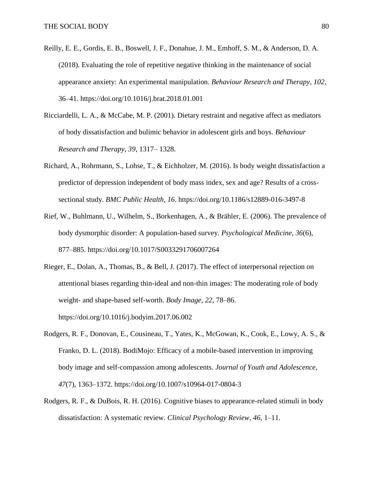- Reilly, E. E., Gordis, E. B., Boswell, J. F., Donahue, J. M., Emhoff, S. M., & Anderson, D. A. (2018). Evaluating the role of repetitive negative thinking in the maintenance of social appearance anxiety: An experimental manipulation. *Behaviour Research and Therapy*, *102*, 36–41. https://doi.org/10.1016/j.brat.2018.01.001
- Ricciardelli, L. A., & McCabe, M. P. (2001). Dietary restraint and negative affect as mediators of body dissatisfaction and bulimic behavior in adolescent girls and boys. *Behaviour Research and Therapy*, *39*, 1317– 1328.
- Richard, A., Rohrmann, S., Lohse, T., & Eichholzer, M. (2016). Is body weight dissatisfaction a predictor of depression independent of body mass index, sex and age? Results of a crosssectional study. *BMC Public Health*, *16*. https://doi.org/10.1186/s12889-016-3497-8
- Rief, W., Buhlmann, U., Wilhelm, S., Borkenhagen, A., & Brähler, E. (2006). The prevalence of body dysmorphic disorder: A population-based survey. *Psychological Medicine*, *36*(6), 877–885. https://doi.org/10.1017/S0033291706007264
- Rieger, E., Dolan, A., Thomas, B., & Bell, J. (2017). The effect of interpersonal rejection on attentional biases regarding thin-ideal and non-thin images: The moderating role of body weight- and shape-based self-worth. *Body Image*, *22*, 78–86. https://doi.org/10.1016/j.bodyim.2017.06.002
- Rodgers, R. F., Donovan, E., Cousineau, T., Yates, K., McGowan, K., Cook, E., Lowy, A. S., & Franko, D. L. (2018). BodiMojo: Efficacy of a mobile-based intervention in improving body image and self-compassion among adolescents. *Journal of Youth and Adolescence*, *47*(7), 1363–1372. https://doi.org/10.1007/s10964-017-0804-3
- Rodgers, R. F., & DuBois, R. H. (2016). Cognitive biases to appearance-related stimuli in body dissatisfaction: A systematic review. *Clinical Psychology Review*, *46*, 1–11.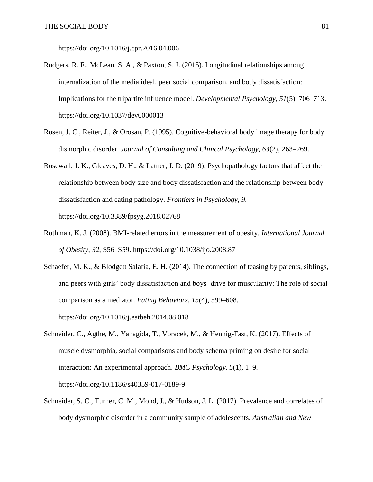https://doi.org/10.1016/j.cpr.2016.04.006

- Rodgers, R. F., McLean, S. A., & Paxton, S. J. (2015). Longitudinal relationships among internalization of the media ideal, peer social comparison, and body dissatisfaction: Implications for the tripartite influence model. *Developmental Psychology*, *51*(5), 706–713. https://doi.org/10.1037/dev0000013
- Rosen, J. C., Reiter, J., & Orosan, P. (1995). Cognitive-behavioral body image therapy for body dismorphic disorder. *Journal of Consulting and Clinical Psychology*, *63*(2), 263–269.
- Rosewall, J. K., Gleaves, D. H., & Latner, J. D. (2019). Psychopathology factors that affect the relationship between body size and body dissatisfaction and the relationship between body dissatisfaction and eating pathology. *Frontiers in Psychology*, *9*. https://doi.org/10.3389/fpsyg.2018.02768
- Rothman, K. J. (2008). BMI-related errors in the measurement of obesity. *International Journal of Obesity*, *32*, S56–S59. https://doi.org/10.1038/ijo.2008.87
- Schaefer, M. K., & Blodgett Salafia, E. H. (2014). The connection of teasing by parents, siblings, and peers with girls' body dissatisfaction and boys' drive for muscularity: The role of social comparison as a mediator. *Eating Behaviors*, *15*(4), 599–608. https://doi.org/10.1016/j.eatbeh.2014.08.018
- Schneider, C., Agthe, M., Yanagida, T., Voracek, M., & Hennig-Fast, K. (2017). Effects of muscle dysmorphia, social comparisons and body schema priming on desire for social interaction: An experimental approach. *BMC Psychology*, *5*(1), 1–9. https://doi.org/10.1186/s40359-017-0189-9
- Schneider, S. C., Turner, C. M., Mond, J., & Hudson, J. L. (2017). Prevalence and correlates of body dysmorphic disorder in a community sample of adolescents. *Australian and New*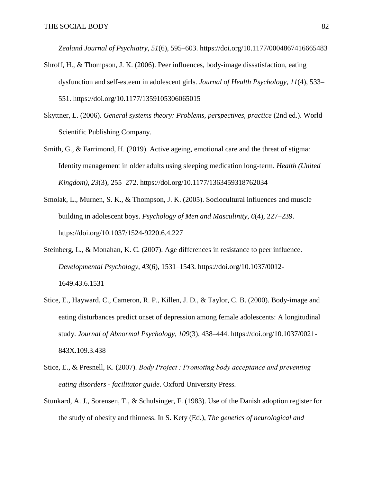*Zealand Journal of Psychiatry*, *51*(6), 595–603. https://doi.org/10.1177/0004867416665483

- Shroff, H., & Thompson, J. K. (2006). Peer influences, body-image dissatisfaction, eating dysfunction and self-esteem in adolescent girls. *Journal of Health Psychology*, *11*(4), 533– 551. https://doi.org/10.1177/1359105306065015
- Skyttner, L. (2006). *General systems theory: Problems, perspectives, practice* (2nd ed.). World Scientific Publishing Company.
- Smith, G., & Farrimond, H. (2019). Active ageing, emotional care and the threat of stigma: Identity management in older adults using sleeping medication long-term. *Health (United Kingdom)*, *23*(3), 255–272. https://doi.org/10.1177/1363459318762034
- Smolak, L., Murnen, S. K., & Thompson, J. K. (2005). Sociocultural influences and muscle building in adolescent boys. *Psychology of Men and Masculinity*, *6*(4), 227–239. https://doi.org/10.1037/1524-9220.6.4.227
- Steinberg, L., & Monahan, K. C. (2007). Age differences in resistance to peer influence. *Developmental Psychology*, *43*(6), 1531–1543. https://doi.org/10.1037/0012- 1649.43.6.1531
- Stice, E., Hayward, C., Cameron, R. P., Killen, J. D., & Taylor, C. B. (2000). Body-image and eating disturbances predict onset of depression among female adolescents: A longitudinal study. *Journal of Abnormal Psychology*, *109*(3), 438–444. https://doi.org/10.1037/0021- 843X.109.3.438
- Stice, E., & Presnell, K. (2007). *Body Project : Promoting body acceptance and preventing eating disorders - facilitator guide*. Oxford University Press.
- Stunkard, A. J., Sorensen, T., & Schulsinger, F. (1983). Use of the Danish adoption register for the study of obesity and thinness. In S. Kety (Ed.), *The genetics of neurological and*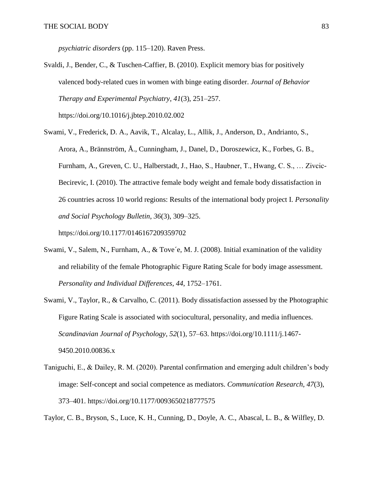*psychiatric disorders* (pp. 115–120). Raven Press.

- Svaldi, J., Bender, C., & Tuschen-Caffier, B. (2010). Explicit memory bias for positively valenced body-related cues in women with binge eating disorder. *Journal of Behavior Therapy and Experimental Psychiatry*, *41*(3), 251–257. https://doi.org/10.1016/j.jbtep.2010.02.002
- Swami, V., Frederick, D. A., Aavik, T., Alcalay, L., Allik, J., Anderson, D., Andrianto, S., Arora, A., Brännström, Å., Cunningham, J., Danel, D., Doroszewicz, K., Forbes, G. B., Furnham, A., Greven, C. U., Halberstadt, J., Hao, S., Haubner, T., Hwang, C. S., … Zivcic-Becirevic, I. (2010). The attractive female body weight and female body dissatisfaction in 26 countries across 10 world regions: Results of the international body project I. *Personality and Social Psychology Bulletin*, *36*(3), 309–325.

https://doi.org/10.1177/0146167209359702

- Swami, V., Salem, N., Furnham, A., & Tove´e, M. J. (2008). Initial examination of the validity and reliability of the female Photographic Figure Rating Scale for body image assessment. *Personality and Individual Differences*, *44*, 1752–1761.
- Swami, V., Taylor, R., & Carvalho, C. (2011). Body dissatisfaction assessed by the Photographic Figure Rating Scale is associated with sociocultural, personality, and media influences. *Scandinavian Journal of Psychology*, *52*(1), 57–63. https://doi.org/10.1111/j.1467- 9450.2010.00836.x
- Taniguchi, E., & Dailey, R. M. (2020). Parental confirmation and emerging adult children's body image: Self-concept and social competence as mediators. *Communication Research*, *47*(3), 373–401. https://doi.org/10.1177/0093650218777575

Taylor, C. B., Bryson, S., Luce, K. H., Cunning, D., Doyle, A. C., Abascal, L. B., & Wilfley, D.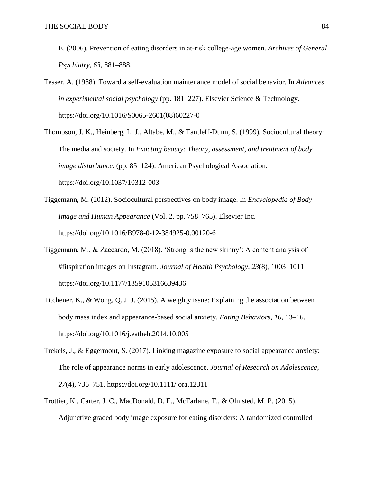- E. (2006). Prevention of eating disorders in at-risk college-age women. *Archives of General Psychiatry*, *63*, 881–888.
- Tesser, A. (1988). Toward a self-evaluation maintenance model of social behavior. In *Advances in experimental social psychology* (pp. 181–227). Elsevier Science & Technology. https://doi.org/10.1016/S0065-2601(08)60227-0
- Thompson, J. K., Heinberg, L. J., Altabe, M., & Tantleff-Dunn, S. (1999). Sociocultural theory: The media and society. In *Exacting beauty: Theory, assessment, and treatment of body image disturbance.* (pp. 85–124). American Psychological Association. https://doi.org/10.1037/10312-003
- Tiggemann, M. (2012). Sociocultural perspectives on body image. In *Encyclopedia of Body Image and Human Appearance* (Vol. 2, pp. 758–765). Elsevier Inc. https://doi.org/10.1016/B978-0-12-384925-0.00120-6
- Tiggemann, M., & Zaccardo, M. (2018). 'Strong is the new skinny': A content analysis of #fitspiration images on Instagram. *Journal of Health Psychology*, *23*(8), 1003–1011. https://doi.org/10.1177/1359105316639436
- Titchener, K., & Wong, Q. J. J. (2015). A weighty issue: Explaining the association between body mass index and appearance-based social anxiety. *Eating Behaviors*, *16*, 13–16. https://doi.org/10.1016/j.eatbeh.2014.10.005
- Trekels, J., & Eggermont, S. (2017). Linking magazine exposure to social appearance anxiety: The role of appearance norms in early adolescence. *Journal of Research on Adolescence*, *27*(4), 736–751. https://doi.org/10.1111/jora.12311
- Trottier, K., Carter, J. C., MacDonald, D. E., McFarlane, T., & Olmsted, M. P. (2015). Adjunctive graded body image exposure for eating disorders: A randomized controlled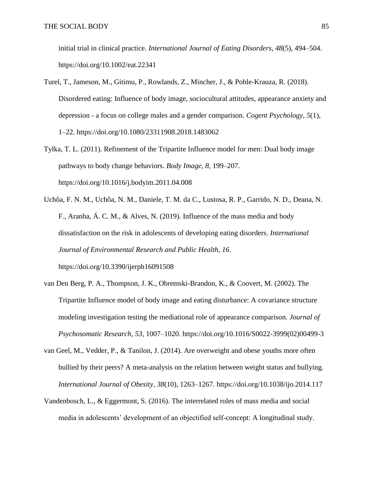initial trial in clinical practice. *International Journal of Eating Disorders*, *48*(5), 494–504. https://doi.org/10.1002/eat.22341

- Turel, T., Jameson, M., Gitimu, P., Rowlands, Z., Mincher, J., & Pohle-Krauza, R. (2018). Disordered eating: Influence of body image, sociocultural attitudes, appearance anxiety and depression - a focus on college males and a gender comparison. *Cogent Psychology*, *5*(1), 1–22. https://doi.org/10.1080/23311908.2018.1483062
- Tylka, T. L. (2011). Refinement of the Tripartite Influence model for men: Dual body image pathways to body change behaviors. *Body Image*, *8*, 199–207. https://doi.org/10.1016/j.bodyim.2011.04.008
- Uchôa, F. N. M., Uchôa, N. M., Daniele, T. M. da C., Lustosa, R. P., Garrido, N. D., Deana, N. F., Aranha, Á. C. M., & Alves, N. (2019). Influence of the mass media and body dissatisfaction on the risk in adolescents of developing eating disorders. *International Journal of Environmental Research and Public Health*, *16*. https://doi.org/10.3390/ijerph16091508
- van Den Berg, P. A., Thompson, J. K., Obremski-Brandon, K., & Coovert, M. (2002). The Tripartite Influence model of body image and eating disturbance: A covariance structure modeling investigation testing the mediational role of appearance comparison. *Journal of Psychosomatic Research*, *53*, 1007–1020. https://doi.org/10.1016/S0022-3999(02)00499-3
- van Geel, M., Vedder, P., & Tanilon, J. (2014). Are overweight and obese youths more often bullied by their peers? A meta-analysis on the relation between weight status and bullying. *International Journal of Obesity*, *38*(10), 1263–1267. https://doi.org/10.1038/ijo.2014.117
- Vandenbosch, L., & Eggermont, S. (2016). The interrelated roles of mass media and social media in adolescents' development of an objectified self-concept: A longitudinal study.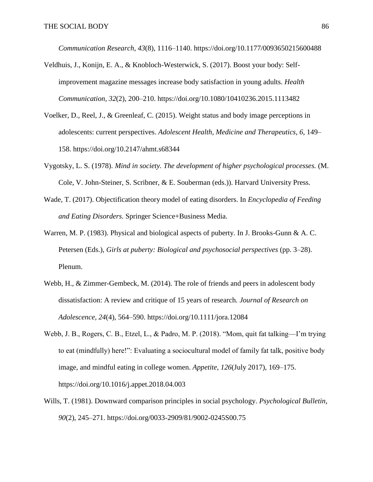*Communication Research*, *43*(8), 1116–1140. https://doi.org/10.1177/0093650215600488

- Veldhuis, J., Konijn, E. A., & Knobloch-Westerwick, S. (2017). Boost your body: Selfimprovement magazine messages increase body satisfaction in young adults. *Health Communication*, *32*(2), 200–210. https://doi.org/10.1080/10410236.2015.1113482
- Voelker, D., Reel, J., & Greenleaf, C. (2015). Weight status and body image perceptions in adolescents: current perspectives. *Adolescent Health, Medicine and Therapeutics*, *6*, 149– 158. https://doi.org/10.2147/ahmt.s68344
- Vygotsky, L. S. (1978). *Mind in society. The development of higher psychological processes.* (M. Cole, V. John-Steiner, S. Scribner, & E. Souberman (eds.)). Harvard University Press.
- Wade, T. (2017). Objectification theory model of eating disorders. In *Encyclopedia of Feeding and Eating Disorders*. Springer Science+Business Media.
- Warren, M. P. (1983). Physical and biological aspects of puberty. In J. Brooks-Gunn & A. C. Petersen (Eds.), *Girls at puberty: Biological and psychosocial perspectives* (pp. 3–28). Plenum.
- Webb, H., & Zimmer-Gembeck, M. (2014). The role of friends and peers in adolescent body dissatisfaction: A review and critique of 15 years of research. *Journal of Research on Adolescence*, *24*(4), 564–590. https://doi.org/10.1111/jora.12084
- Webb, J. B., Rogers, C. B., Etzel, L., & Padro, M. P. (2018). "Mom, quit fat talking—I'm trying to eat (mindfully) here!": Evaluating a sociocultural model of family fat talk, positive body image, and mindful eating in college women. *Appetite*, *126*(July 2017), 169–175. https://doi.org/10.1016/j.appet.2018.04.003
- Wills, T. (1981). Downward comparison principles in social psychology. *Psychological Bulletin*, *90*(2), 245–271. https://doi.org/0033-2909/81/9002-0245S00.75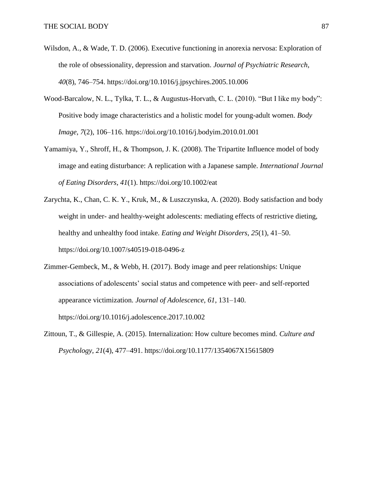- Wilsdon, A., & Wade, T. D. (2006). Executive functioning in anorexia nervosa: Exploration of the role of obsessionality, depression and starvation. *Journal of Psychiatric Research*, *40*(8), 746–754. https://doi.org/10.1016/j.jpsychires.2005.10.006
- Wood-Barcalow, N. L., Tylka, T. L., & Augustus-Horvath, C. L. (2010). "But I like my body": Positive body image characteristics and a holistic model for young-adult women. *Body Image*, *7*(2), 106–116. https://doi.org/10.1016/j.bodyim.2010.01.001
- Yamamiya, Y., Shroff, H., & Thompson, J. K. (2008). The Tripartite Influence model of body image and eating disturbance: A replication with a Japanese sample. *International Journal of Eating Disorders*, *41*(1). https://doi.org/10.1002/eat
- Zarychta, K., Chan, C. K. Y., Kruk, M., & Luszczynska, A. (2020). Body satisfaction and body weight in under- and healthy-weight adolescents: mediating effects of restrictive dieting, healthy and unhealthy food intake. *Eating and Weight Disorders*, *25*(1), 41–50. https://doi.org/10.1007/s40519-018-0496-z
- Zimmer-Gembeck, M., & Webb, H. (2017). Body image and peer relationships: Unique associations of adolescents' social status and competence with peer- and self-reported appearance victimization. *Journal of Adolescence*, *61*, 131–140. https://doi.org/10.1016/j.adolescence.2017.10.002
- Zittoun, T., & Gillespie, A. (2015). Internalization: How culture becomes mind. *Culture and Psychology*, *21*(4), 477–491. https://doi.org/10.1177/1354067X15615809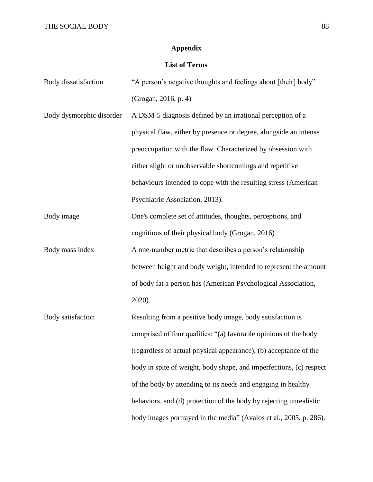## **Appendix**

## **List of Terms**

| Body dissatisfaction     | "A person's negative thoughts and feelings about [their] body"      |
|--------------------------|---------------------------------------------------------------------|
|                          | (Grogan, 2016, p. 4)                                                |
| Body dysmorphic disorder | A DSM-5 diagnosis defined by an irrational perception of a          |
|                          | physical flaw, either by presence or degree, alongside an intense   |
|                          | preoccupation with the flaw. Characterized by obsession with        |
|                          | either slight or unobservable shortcomings and repetitive           |
|                          | behaviours intended to cope with the resulting stress (American     |
|                          | Psychiatric Association, 2013).                                     |
| Body image               | One's complete set of attitudes, thoughts, perceptions, and         |
|                          | cognitions of their physical body (Grogan, 2016)                    |
| Body mass index          | A one-number metric that describes a person's relationship          |
|                          | between height and body weight, intended to represent the amount    |
|                          | of body fat a person has (American Psychological Association,       |
|                          | 2020)                                                               |
| Body satisfaction        | Resulting from a positive body image, body satisfaction is          |
|                          | comprised of four qualities: "(a) favorable opinions of the body    |
|                          | (regardless of actual physical appearance), (b) acceptance of the   |
|                          | body in spite of weight, body shape, and imperfections, (c) respect |
|                          | of the body by attending to its needs and engaging in healthy       |
|                          | behaviors, and (d) protection of the body by rejecting unrealistic  |
|                          | body images portrayed in the media" (Avalos et al., 2005, p. 286).  |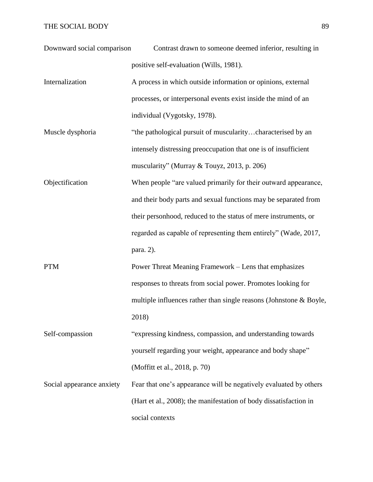## THE SOCIAL BODY 89

| Downward social comparison | Contrast drawn to someone deemed inferior, resulting in            |
|----------------------------|--------------------------------------------------------------------|
|                            | positive self-evaluation (Wills, 1981).                            |
| Internalization            | A process in which outside information or opinions, external       |
|                            | processes, or interpersonal events exist inside the mind of an     |
|                            | individual (Vygotsky, 1978).                                       |
| Muscle dysphoria           | "the pathological pursuit of muscularitycharacterised by an        |
|                            | intensely distressing preoccupation that one is of insufficient    |
|                            | muscularity" (Murray & Touyz, 2013, p. 206)                        |
| Objectification            | When people "are valued primarily for their outward appearance,    |
|                            | and their body parts and sexual functions may be separated from    |
|                            | their personhood, reduced to the status of mere instruments, or    |
|                            | regarded as capable of representing them entirely" (Wade, 2017,    |
|                            | para. 2).                                                          |
| <b>PTM</b>                 | Power Threat Meaning Framework – Lens that emphasizes              |
|                            | responses to threats from social power. Promotes looking for       |
|                            | multiple influences rather than single reasons (Johnstone & Boyle, |
|                            | 2018)                                                              |
| Self-compassion            | "expressing kindness, compassion, and understanding towards        |
|                            | yourself regarding your weight, appearance and body shape"         |
|                            | (Moffitt et al., 2018, p. 70)                                      |
| Social appearance anxiety  | Fear that one's appearance will be negatively evaluated by others  |
|                            | (Hart et al., 2008); the manifestation of body dissatisfaction in  |
|                            | social contexts                                                    |